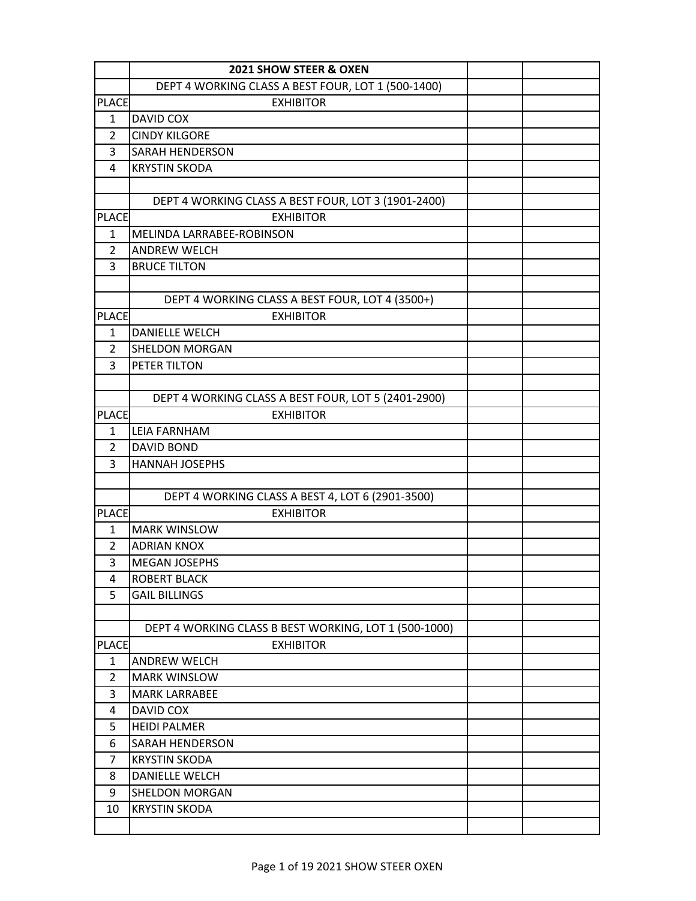|                              | 2021 SHOW STEER & OXEN                                |  |
|------------------------------|-------------------------------------------------------|--|
|                              | DEPT 4 WORKING CLASS A BEST FOUR, LOT 1 (500-1400)    |  |
| <b>PLACE</b>                 | <b>EXHIBITOR</b>                                      |  |
| 1                            | DAVID COX                                             |  |
| $\overline{2}$               | <b>CINDY KILGORE</b>                                  |  |
| 3                            | SARAH HENDERSON                                       |  |
| 4                            | <b>KRYSTIN SKODA</b>                                  |  |
|                              |                                                       |  |
|                              | DEPT 4 WORKING CLASS A BEST FOUR, LOT 3 (1901-2400)   |  |
| <b>PLACE</b>                 | <b>EXHIBITOR</b>                                      |  |
| 1                            | MELINDA LARRABEE-ROBINSON                             |  |
| $\overline{2}$               | <b>ANDREW WELCH</b>                                   |  |
| 3                            | <b>BRUCE TILTON</b>                                   |  |
|                              |                                                       |  |
|                              | DEPT 4 WORKING CLASS A BEST FOUR, LOT 4 (3500+)       |  |
| <b>PLACE</b>                 | <b>EXHIBITOR</b>                                      |  |
| $\mathbf{1}$                 | <b>DANIELLE WELCH</b>                                 |  |
| 2                            | <b>SHELDON MORGAN</b>                                 |  |
| 3                            | PETER TILTON                                          |  |
|                              |                                                       |  |
|                              | DEPT 4 WORKING CLASS A BEST FOUR, LOT 5 (2401-2900)   |  |
| <b>PLACE</b>                 | <b>EXHIBITOR</b>                                      |  |
| 1                            | <b>LEIA FARNHAM</b>                                   |  |
| 2                            | <b>DAVID BOND</b>                                     |  |
| 3                            | <b>HANNAH JOSEPHS</b>                                 |  |
|                              |                                                       |  |
|                              | DEPT 4 WORKING CLASS A BEST 4, LOT 6 (2901-3500)      |  |
| <b>PLACE</b>                 | <b>EXHIBITOR</b>                                      |  |
| 1                            | <b>MARK WINSLOW</b>                                   |  |
| $\overline{2}$               | <b>ADRIAN KNOX</b>                                    |  |
| 3                            | <b>MEGAN JOSEPHS</b>                                  |  |
| 4                            | <b>ROBERT BLACK</b>                                   |  |
| 5                            | <b>GAIL BILLINGS</b>                                  |  |
|                              |                                                       |  |
|                              | DEPT 4 WORKING CLASS B BEST WORKING, LOT 1 (500-1000) |  |
| <b>PLACE</b><br>$\mathbf{1}$ | <b>EXHIBITOR</b><br><b>ANDREW WELCH</b>               |  |
| 2                            | <b>MARK WINSLOW</b>                                   |  |
| 3                            | <b>MARK LARRABEE</b>                                  |  |
| 4                            | DAVID COX                                             |  |
|                              | <b>HEIDI PALMER</b>                                   |  |
| 5<br>6                       | <b>SARAH HENDERSON</b>                                |  |
| 7                            | <b>KRYSTIN SKODA</b>                                  |  |
|                              |                                                       |  |
| 8                            | DANIELLE WELCH                                        |  |
| 9                            | SHELDON MORGAN                                        |  |
| 10                           | <b>KRYSTIN SKODA</b>                                  |  |
|                              |                                                       |  |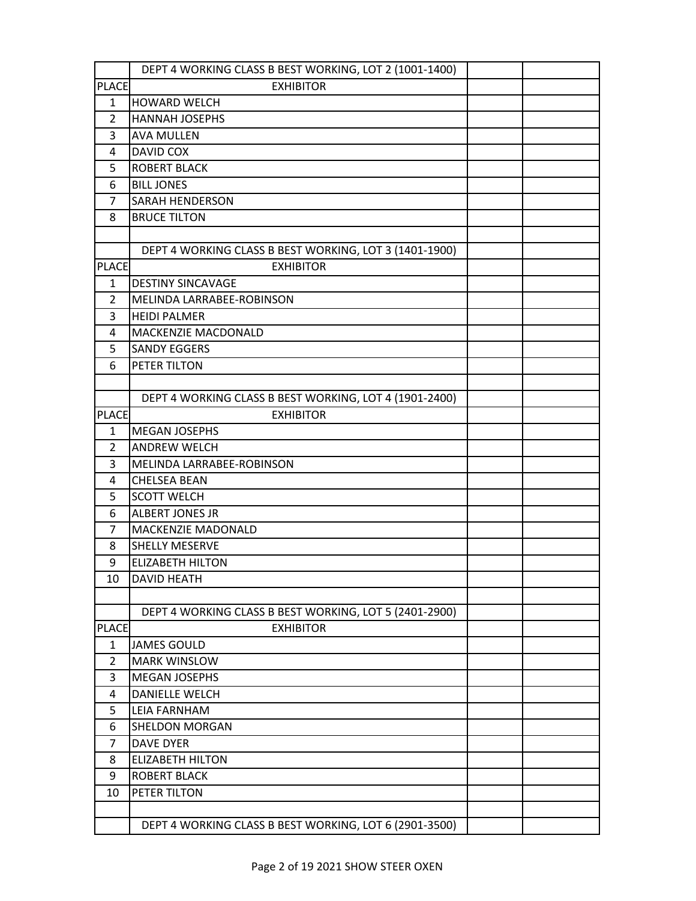|                | DEPT 4 WORKING CLASS B BEST WORKING, LOT 2 (1001-1400) |  |
|----------------|--------------------------------------------------------|--|
| <b>PLACE</b>   | <b>EXHIBITOR</b>                                       |  |
| $\mathbf{1}$   | <b>HOWARD WELCH</b>                                    |  |
| $\overline{2}$ | <b>HANNAH JOSEPHS</b>                                  |  |
| 3              | <b>AVA MULLEN</b>                                      |  |
| 4              | DAVID COX                                              |  |
| 5              | <b>ROBERT BLACK</b>                                    |  |
| 6              | <b>BILL JONES</b>                                      |  |
| 7              | <b>SARAH HENDERSON</b>                                 |  |
| 8              | <b>BRUCE TILTON</b>                                    |  |
|                |                                                        |  |
|                | DEPT 4 WORKING CLASS B BEST WORKING, LOT 3 (1401-1900) |  |
| <b>PLACE</b>   | <b>EXHIBITOR</b>                                       |  |
| 1              | <b>DESTINY SINCAVAGE</b>                               |  |
| $\overline{2}$ | MELINDA LARRABEE-ROBINSON                              |  |
| 3              | <b>HEIDI PALMER</b>                                    |  |
| 4              | MACKENZIE MACDONALD                                    |  |
| 5              | <b>SANDY EGGERS</b>                                    |  |
| 6              | PETER TILTON                                           |  |
|                |                                                        |  |
|                | DEPT 4 WORKING CLASS B BEST WORKING, LOT 4 (1901-2400) |  |
| <b>PLACE</b>   | <b>EXHIBITOR</b>                                       |  |
| $\mathbf{1}$   | <b>MEGAN JOSEPHS</b>                                   |  |
| 2              | <b>ANDREW WELCH</b>                                    |  |
| 3              | MELINDA LARRABEE-ROBINSON                              |  |
| 4              | <b>CHELSEA BEAN</b>                                    |  |
| 5              | <b>SCOTT WELCH</b>                                     |  |
| 6              | <b>ALBERT JONES JR</b>                                 |  |
| 7              | MACKENZIE MADONALD                                     |  |
| 8              | <b>SHELLY MESERVE</b>                                  |  |
| 9              | <b>ELIZABETH HILTON</b>                                |  |
| 10             | <b>DAVID HEATH</b>                                     |  |
|                |                                                        |  |
|                | DEPT 4 WORKING CLASS B BEST WORKING, LOT 5 (2401-2900) |  |
| <b>PLACE</b>   | <b>EXHIBITOR</b>                                       |  |
| 1              | <b>JAMES GOULD</b>                                     |  |
| $\overline{2}$ | <b>MARK WINSLOW</b>                                    |  |
| 3<br>4         | <b>MEGAN JOSEPHS</b><br><b>DANIELLE WELCH</b>          |  |
|                | <b>LEIA FARNHAM</b>                                    |  |
| 5<br>6         | <b>SHELDON MORGAN</b>                                  |  |
| 7              | <b>DAVE DYER</b>                                       |  |
| 8              | <b>ELIZABETH HILTON</b>                                |  |
| 9              | <b>ROBERT BLACK</b>                                    |  |
| 10             | PETER TILTON                                           |  |
|                |                                                        |  |
|                | DEPT 4 WORKING CLASS B BEST WORKING, LOT 6 (2901-3500) |  |
|                |                                                        |  |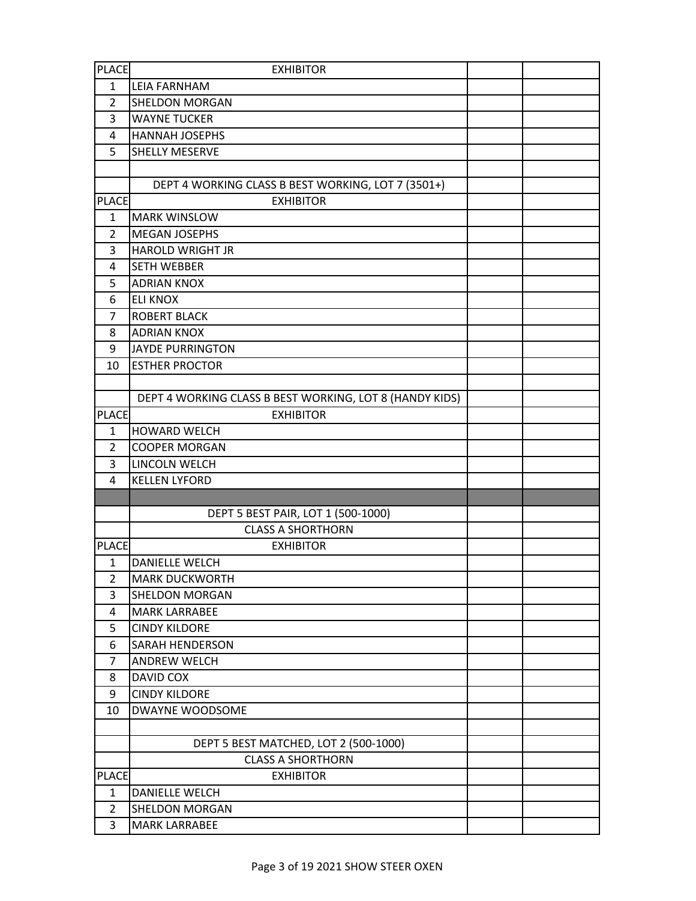| <b>PLACE</b>   | <b>EXHIBITOR</b>                                        |  |
|----------------|---------------------------------------------------------|--|
| $\mathbf{1}$   | LEIA FARNHAM                                            |  |
| 2              | <b>SHELDON MORGAN</b>                                   |  |
| 3              | <b>WAYNE TUCKER</b>                                     |  |
| 4              | <b>HANNAH JOSEPHS</b>                                   |  |
| 5              | SHELLY MESERVE                                          |  |
|                |                                                         |  |
|                | DEPT 4 WORKING CLASS B BEST WORKING, LOT 7 (3501+)      |  |
| <b>PLACE</b>   | <b>EXHIBITOR</b>                                        |  |
| $\mathbf{1}$   | <b>MARK WINSLOW</b>                                     |  |
| 2              | <b>MEGAN JOSEPHS</b>                                    |  |
| 3              | <b>HAROLD WRIGHT JR</b>                                 |  |
| 4              | <b>SETH WEBBER</b>                                      |  |
| 5              | <b>ADRIAN KNOX</b>                                      |  |
| 6              | <b>ELI KNOX</b>                                         |  |
| 7              | <b>ROBERT BLACK</b>                                     |  |
| 8              | <b>ADRIAN KNOX</b>                                      |  |
| 9              | <b>JAYDE PURRINGTON</b>                                 |  |
| 10             | <b>ESTHER PROCTOR</b>                                   |  |
|                |                                                         |  |
|                | DEPT 4 WORKING CLASS B BEST WORKING, LOT 8 (HANDY KIDS) |  |
| <b>PLACE</b>   | <b>EXHIBITOR</b>                                        |  |
| $\mathbf{1}$   | <b>HOWARD WELCH</b>                                     |  |
| 2              | <b>COOPER MORGAN</b>                                    |  |
| 3              | LINCOLN WELCH                                           |  |
| 4              | <b>KELLEN LYFORD</b>                                    |  |
|                |                                                         |  |
|                | DEPT 5 BEST PAIR, LOT 1 (500-1000)                      |  |
|                | <b>CLASS A SHORTHORN</b>                                |  |
| <b>PLACE</b>   | <b>EXHIBITOR</b>                                        |  |
| $\mathbf{1}$   | <b>DANIELLE WELCH</b>                                   |  |
| $\overline{2}$ | <b>MARK DUCKWORTH</b>                                   |  |
| 3<br>4         | <b>SHELDON MORGAN</b><br><b>MARK LARRABEE</b>           |  |
| 5              | <b>CINDY KILDORE</b>                                    |  |
| 6              | <b>SARAH HENDERSON</b>                                  |  |
| $\overline{7}$ | <b>ANDREW WELCH</b>                                     |  |
| 8              | DAVID COX                                               |  |
| 9              | <b>CINDY KILDORE</b>                                    |  |
| 10             | DWAYNE WOODSOME                                         |  |
|                |                                                         |  |
|                | DEPT 5 BEST MATCHED, LOT 2 (500-1000)                   |  |
|                | <b>CLASS A SHORTHORN</b>                                |  |
| <b>PLACE</b>   | <b>EXHIBITOR</b>                                        |  |
| $\mathbf{1}$   | <b>DANIELLE WELCH</b>                                   |  |
| $\overline{2}$ | <b>SHELDON MORGAN</b>                                   |  |
| 3              | <b>MARK LARRABEE</b>                                    |  |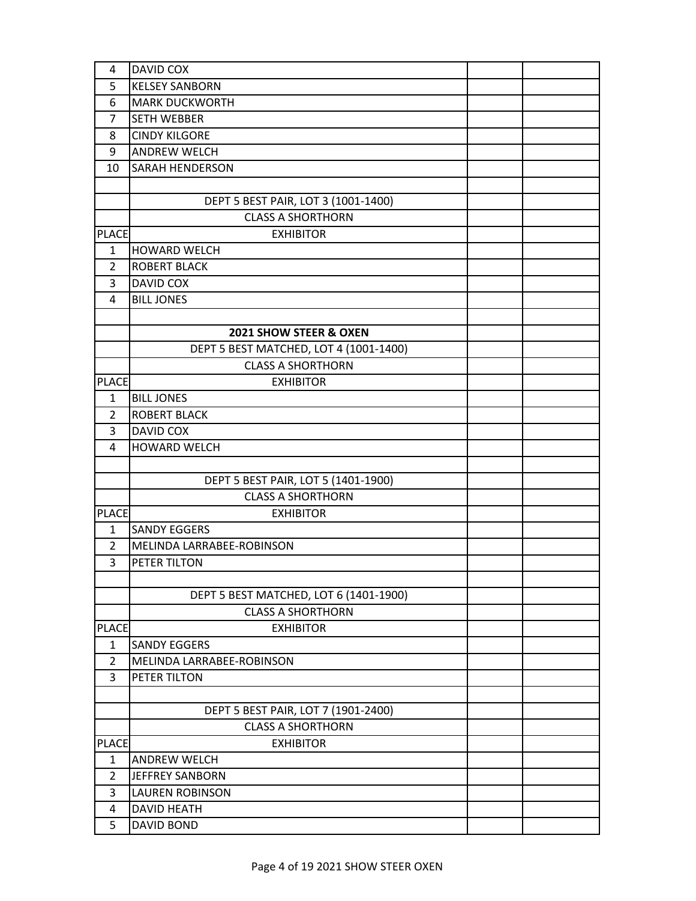| 4              | <b>DAVID COX</b>                       |  |
|----------------|----------------------------------------|--|
| 5              | <b>KELSEY SANBORN</b>                  |  |
| 6              | <b>MARK DUCKWORTH</b>                  |  |
| 7              | <b>SETH WEBBER</b>                     |  |
| 8              | <b>CINDY KILGORE</b>                   |  |
| 9              | <b>ANDREW WELCH</b>                    |  |
| 10             | <b>SARAH HENDERSON</b>                 |  |
|                |                                        |  |
|                | DEPT 5 BEST PAIR, LOT 3 (1001-1400)    |  |
|                | <b>CLASS A SHORTHORN</b>               |  |
| <b>PLACE</b>   | <b>EXHIBITOR</b>                       |  |
| $\mathbf{1}$   | <b>HOWARD WELCH</b>                    |  |
| $\overline{2}$ | <b>ROBERT BLACK</b>                    |  |
| 3              | DAVID COX                              |  |
| 4              | <b>BILL JONES</b>                      |  |
|                |                                        |  |
|                | 2021 SHOW STEER & OXEN                 |  |
|                | DEPT 5 BEST MATCHED, LOT 4 (1001-1400) |  |
|                | <b>CLASS A SHORTHORN</b>               |  |
| <b>PLACE</b>   | <b>EXHIBITOR</b>                       |  |
| 1              | <b>BILL JONES</b>                      |  |
| $\overline{2}$ | <b>ROBERT BLACK</b>                    |  |
| 3              | DAVID COX                              |  |
| 4              | <b>HOWARD WELCH</b>                    |  |
|                |                                        |  |
|                | DEPT 5 BEST PAIR, LOT 5 (1401-1900)    |  |
|                | <b>CLASS A SHORTHORN</b>               |  |
| <b>PLACE</b>   | <b>EXHIBITOR</b>                       |  |
| 1              | <b>SANDY EGGERS</b>                    |  |
| 2              | MELINDA LARRABEE-ROBINSON              |  |
| 3              | PETER TILTON                           |  |
|                |                                        |  |
|                | DEPT 5 BEST MATCHED, LOT 6 (1401-1900) |  |
|                | <b>CLASS A SHORTHORN</b>               |  |
| <b>PLACE</b>   | <b>EXHIBITOR</b>                       |  |
| $\mathbf{1}$   | <b>SANDY EGGERS</b>                    |  |
| $\overline{2}$ | MELINDA LARRABEE-ROBINSON              |  |
| 3              | PETER TILTON                           |  |
|                |                                        |  |
|                | DEPT 5 BEST PAIR, LOT 7 (1901-2400)    |  |
|                | <b>CLASS A SHORTHORN</b>               |  |
| <b>PLACE</b>   | <b>EXHIBITOR</b>                       |  |
| 1              | <b>ANDREW WELCH</b>                    |  |
| $\overline{2}$ | JEFFREY SANBORN                        |  |
| 3              | <b>LAUREN ROBINSON</b>                 |  |
| 4              | <b>DAVID HEATH</b>                     |  |
| 5              | <b>DAVID BOND</b>                      |  |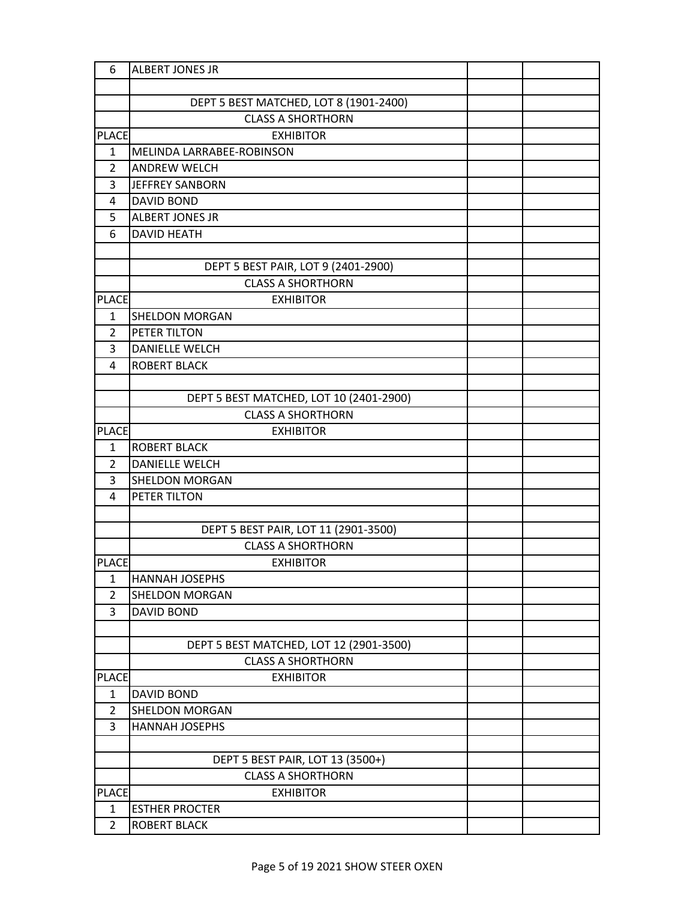| 6                            | <b>ALBERT JONES JR</b>                                              |  |
|------------------------------|---------------------------------------------------------------------|--|
|                              |                                                                     |  |
|                              | DEPT 5 BEST MATCHED, LOT 8 (1901-2400)                              |  |
|                              | <b>CLASS A SHORTHORN</b>                                            |  |
| <b>PLACE</b>                 | <b>EXHIBITOR</b>                                                    |  |
| 1                            | MELINDA LARRABEE-ROBINSON                                           |  |
| $\overline{2}$               | <b>ANDREW WELCH</b>                                                 |  |
| 3                            | JEFFREY SANBORN                                                     |  |
| 4                            | <b>DAVID BOND</b>                                                   |  |
| 5                            | <b>ALBERT JONES JR</b>                                              |  |
| 6                            | <b>DAVID HEATH</b>                                                  |  |
|                              |                                                                     |  |
|                              | DEPT 5 BEST PAIR, LOT 9 (2401-2900)                                 |  |
|                              | <b>CLASS A SHORTHORN</b>                                            |  |
| <b>PLACE</b>                 | <b>EXHIBITOR</b>                                                    |  |
| 1                            | <b>SHELDON MORGAN</b>                                               |  |
| $\overline{2}$               | PETER TILTON                                                        |  |
| 3                            | <b>DANIELLE WELCH</b>                                               |  |
| 4                            | <b>ROBERT BLACK</b>                                                 |  |
|                              |                                                                     |  |
|                              | DEPT 5 BEST MATCHED, LOT 10 (2401-2900)                             |  |
|                              | <b>CLASS A SHORTHORN</b>                                            |  |
| <b>PLACE</b>                 | <b>EXHIBITOR</b>                                                    |  |
| $\mathbf{1}$                 | <b>ROBERT BLACK</b>                                                 |  |
| $\overline{2}$               | <b>DANIELLE WELCH</b>                                               |  |
| 3                            | <b>SHELDON MORGAN</b>                                               |  |
| 4                            | PETER TILTON                                                        |  |
|                              |                                                                     |  |
|                              | DEPT 5 BEST PAIR, LOT 11 (2901-3500)                                |  |
|                              | <b>CLASS A SHORTHORN</b>                                            |  |
| <b>PLACE</b>                 | <b>EXHIBITOR</b>                                                    |  |
| 1                            | <b>HANNAH JOSEPHS</b>                                               |  |
| $\overline{2}$               | SHELDON MORGAN                                                      |  |
| 3                            | <b>DAVID BOND</b>                                                   |  |
|                              |                                                                     |  |
|                              | DEPT 5 BEST MATCHED, LOT 12 (2901-3500)<br><b>CLASS A SHORTHORN</b> |  |
|                              | <b>EXHIBITOR</b>                                                    |  |
| <b>PLACE</b><br>$\mathbf{1}$ | <b>DAVID BOND</b>                                                   |  |
| $\overline{2}$               | <b>SHELDON MORGAN</b>                                               |  |
| 3                            | <b>HANNAH JOSEPHS</b>                                               |  |
|                              |                                                                     |  |
|                              | DEPT 5 BEST PAIR, LOT 13 (3500+)                                    |  |
|                              | <b>CLASS A SHORTHORN</b>                                            |  |
| <b>PLACE</b>                 | <b>EXHIBITOR</b>                                                    |  |
| 1                            | <b>ESTHER PROCTER</b>                                               |  |
| $\overline{2}$               | <b>ROBERT BLACK</b>                                                 |  |
|                              |                                                                     |  |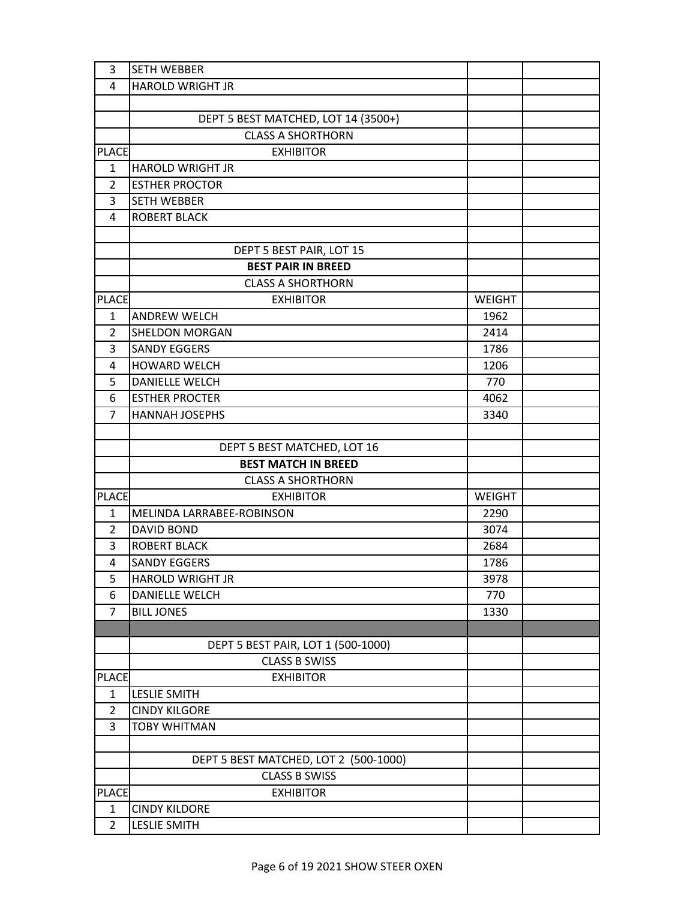| 3              | <b>SETH WEBBER</b>                    |               |  |
|----------------|---------------------------------------|---------------|--|
| 4              | <b>HAROLD WRIGHT JR</b>               |               |  |
|                |                                       |               |  |
|                | DEPT 5 BEST MATCHED, LOT 14 (3500+)   |               |  |
|                | <b>CLASS A SHORTHORN</b>              |               |  |
| <b>PLACE</b>   | <b>EXHIBITOR</b>                      |               |  |
| 1              | <b>HAROLD WRIGHT JR</b>               |               |  |
| $\overline{2}$ | <b>ESTHER PROCTOR</b>                 |               |  |
| 3              | <b>SETH WEBBER</b>                    |               |  |
| 4              | <b>ROBERT BLACK</b>                   |               |  |
|                |                                       |               |  |
|                | DEPT 5 BEST PAIR, LOT 15              |               |  |
|                | <b>BEST PAIR IN BREED</b>             |               |  |
|                | <b>CLASS A SHORTHORN</b>              |               |  |
| <b>PLACE</b>   | <b>EXHIBITOR</b>                      | WEIGHT        |  |
| 1              | <b>ANDREW WELCH</b>                   | 1962          |  |
| 2              | <b>SHELDON MORGAN</b>                 | 2414          |  |
| 3              | <b>SANDY EGGERS</b>                   | 1786          |  |
| 4              | <b>HOWARD WELCH</b>                   | 1206          |  |
| 5              | <b>DANIELLE WELCH</b>                 | 770           |  |
| 6              | <b>ESTHER PROCTER</b>                 | 4062          |  |
| $\overline{7}$ | <b>HANNAH JOSEPHS</b>                 | 3340          |  |
|                |                                       |               |  |
|                | DEPT 5 BEST MATCHED, LOT 16           |               |  |
|                | <b>BEST MATCH IN BREED</b>            |               |  |
|                | <b>CLASS A SHORTHORN</b>              |               |  |
| <b>PLACE</b>   | <b>EXHIBITOR</b>                      | <b>WEIGHT</b> |  |
| $\mathbf{1}$   | MELINDA LARRABEE-ROBINSON             | 2290          |  |
| $\overline{2}$ | <b>DAVID BOND</b>                     | 3074          |  |
| 3              | <b>ROBERT BLACK</b>                   | 2684          |  |
| 4              | <b>SANDY EGGERS</b>                   | 1786          |  |
| 5              | <b>HAROLD WRIGHT JR</b>               | 3978          |  |
| 6              | <b>DANIELLE WELCH</b>                 | 770           |  |
| $\overline{7}$ | <b>BILL JONES</b>                     | 1330          |  |
|                |                                       |               |  |
|                | DEPT 5 BEST PAIR, LOT 1 (500-1000)    |               |  |
|                | <b>CLASS B SWISS</b>                  |               |  |
| <b>PLACE</b>   | <b>EXHIBITOR</b>                      |               |  |
| $\mathbf{1}$   | <b>LESLIE SMITH</b>                   |               |  |
| $\overline{2}$ | <b>CINDY KILGORE</b>                  |               |  |
| 3              | <b>TOBY WHITMAN</b>                   |               |  |
|                |                                       |               |  |
|                | DEPT 5 BEST MATCHED, LOT 2 (500-1000) |               |  |
|                | <b>CLASS B SWISS</b>                  |               |  |
| <b>PLACE</b>   | <b>EXHIBITOR</b>                      |               |  |
| 1              | <b>CINDY KILDORE</b>                  |               |  |
| $\overline{2}$ | <b>LESLIE SMITH</b>                   |               |  |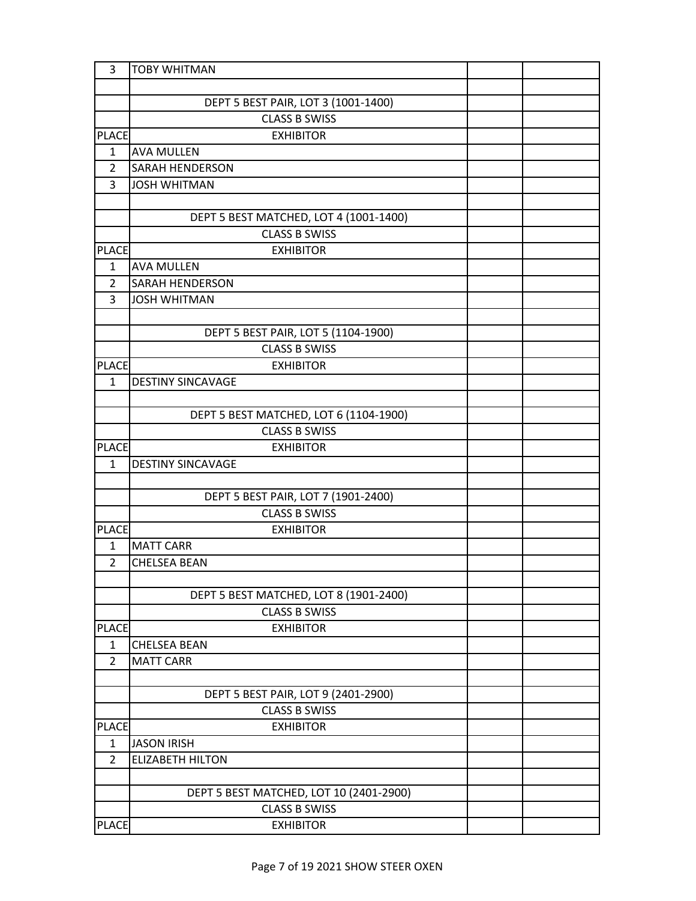| 3              | <b>TOBY WHITMAN</b>                     |  |
|----------------|-----------------------------------------|--|
|                |                                         |  |
|                | DEPT 5 BEST PAIR, LOT 3 (1001-1400)     |  |
|                | <b>CLASS B SWISS</b>                    |  |
| <b>PLACE</b>   | <b>EXHIBITOR</b>                        |  |
| $\mathbf{1}$   | <b>AVA MULLEN</b>                       |  |
| $\overline{2}$ | <b>SARAH HENDERSON</b>                  |  |
| 3              | <b>JOSH WHITMAN</b>                     |  |
|                |                                         |  |
|                | DEPT 5 BEST MATCHED, LOT 4 (1001-1400)  |  |
|                | <b>CLASS B SWISS</b>                    |  |
| <b>PLACE</b>   | <b>EXHIBITOR</b>                        |  |
| $\mathbf{1}$   | <b>AVA MULLEN</b>                       |  |
| 2              | SARAH HENDERSON                         |  |
| 3              | <b>JOSH WHITMAN</b>                     |  |
|                |                                         |  |
|                | DEPT 5 BEST PAIR, LOT 5 (1104-1900)     |  |
|                | <b>CLASS B SWISS</b>                    |  |
| <b>PLACE</b>   | <b>EXHIBITOR</b>                        |  |
| $\mathbf{1}$   | <b>DESTINY SINCAVAGE</b>                |  |
|                |                                         |  |
|                | DEPT 5 BEST MATCHED, LOT 6 (1104-1900)  |  |
|                | <b>CLASS B SWISS</b>                    |  |
| <b>PLACE</b>   | <b>EXHIBITOR</b>                        |  |
| $\mathbf{1}$   | <b>DESTINY SINCAVAGE</b>                |  |
|                |                                         |  |
|                | DEPT 5 BEST PAIR, LOT 7 (1901-2400)     |  |
|                | <b>CLASS B SWISS</b>                    |  |
| <b>PLACE</b>   | <b>EXHIBITOR</b>                        |  |
| $\mathbf{1}$   | <b>MATT CARR</b>                        |  |
| $\overline{2}$ | <b>CHELSEA BEAN</b>                     |  |
|                |                                         |  |
|                | DEPT 5 BEST MATCHED, LOT 8 (1901-2400)  |  |
|                | <b>CLASS B SWISS</b>                    |  |
| <b>PLACE</b>   | <b>EXHIBITOR</b>                        |  |
| 1              | <b>CHELSEA BEAN</b>                     |  |
| $\overline{2}$ | <b>MATT CARR</b>                        |  |
|                |                                         |  |
|                | DEPT 5 BEST PAIR, LOT 9 (2401-2900)     |  |
|                | <b>CLASS B SWISS</b>                    |  |
| <b>PLACE</b>   | <b>EXHIBITOR</b>                        |  |
| $\mathbf{1}$   | <b>JASON IRISH</b>                      |  |
| $\overline{2}$ | <b>ELIZABETH HILTON</b>                 |  |
|                |                                         |  |
|                | DEPT 5 BEST MATCHED, LOT 10 (2401-2900) |  |
|                | <b>CLASS B SWISS</b>                    |  |
| <b>PLACE</b>   | <b>EXHIBITOR</b>                        |  |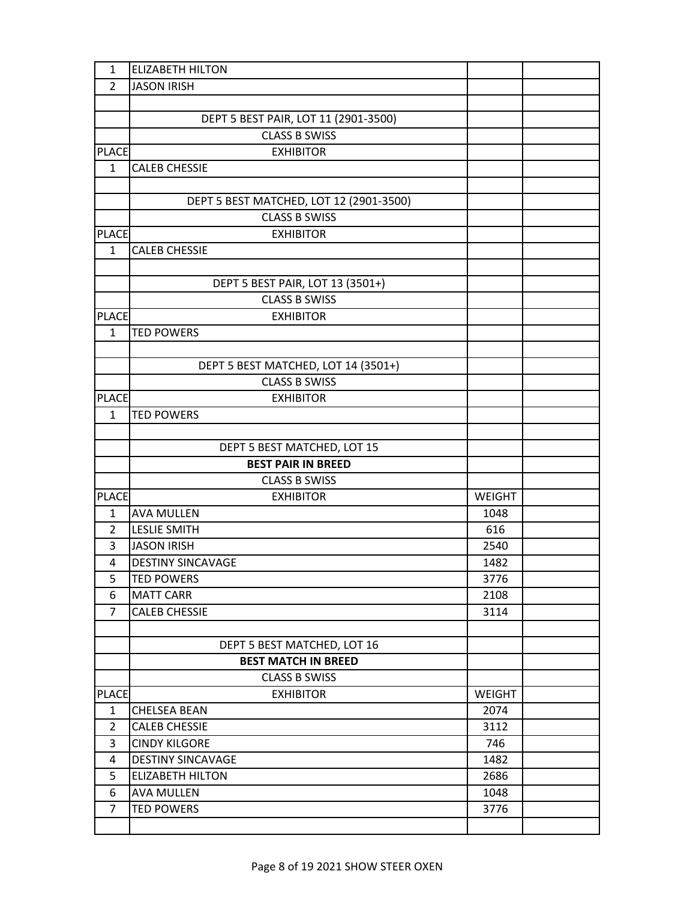| $\mathbf{1}$ | <b>ELIZABETH HILTON</b>                 |               |  |
|--------------|-----------------------------------------|---------------|--|
| 2            | <b>JASON IRISH</b>                      |               |  |
|              |                                         |               |  |
|              | DEPT 5 BEST PAIR, LOT 11 (2901-3500)    |               |  |
|              | <b>CLASS B SWISS</b>                    |               |  |
| <b>PLACE</b> | <b>EXHIBITOR</b>                        |               |  |
| $\mathbf{1}$ | <b>CALEB CHESSIE</b>                    |               |  |
|              |                                         |               |  |
|              | DEPT 5 BEST MATCHED, LOT 12 (2901-3500) |               |  |
|              | <b>CLASS B SWISS</b>                    |               |  |
| <b>PLACE</b> | <b>EXHIBITOR</b>                        |               |  |
| $\mathbf{1}$ | <b>CALEB CHESSIE</b>                    |               |  |
|              |                                         |               |  |
|              | DEPT 5 BEST PAIR, LOT 13 (3501+)        |               |  |
|              | <b>CLASS B SWISS</b>                    |               |  |
| <b>PLACE</b> | <b>EXHIBITOR</b>                        |               |  |
| $\mathbf{1}$ | <b>TED POWERS</b>                       |               |  |
|              |                                         |               |  |
|              | DEPT 5 BEST MATCHED, LOT 14 (3501+)     |               |  |
|              | <b>CLASS B SWISS</b>                    |               |  |
| <b>PLACE</b> | <b>EXHIBITOR</b>                        |               |  |
| $\mathbf{1}$ | <b>TED POWERS</b>                       |               |  |
|              |                                         |               |  |
|              | DEPT 5 BEST MATCHED, LOT 15             |               |  |
|              | <b>BEST PAIR IN BREED</b>               |               |  |
|              | <b>CLASS B SWISS</b>                    |               |  |
| <b>PLACE</b> | <b>EXHIBITOR</b>                        | <b>WEIGHT</b> |  |
| 1            | <b>AVA MULLEN</b>                       | 1048          |  |
| 2            | <b>LESLIE SMITH</b>                     | 616           |  |
| 3            | <b>JASON IRISH</b>                      | 2540          |  |
| 4            | <b>DESTINY SINCAVAGE</b>                | 1482          |  |
| 5            | <b>TED POWERS</b>                       | 3776          |  |
| 6            | <b>MATT CARR</b>                        | 2108          |  |
| 7            | <b>CALEB CHESSIE</b>                    | 3114          |  |
|              |                                         |               |  |
|              | DEPT 5 BEST MATCHED, LOT 16             |               |  |
|              | <b>BEST MATCH IN BREED</b>              |               |  |
|              | <b>CLASS B SWISS</b>                    |               |  |
| <b>PLACE</b> | <b>EXHIBITOR</b>                        | <b>WEIGHT</b> |  |
| $\mathbf{1}$ | <b>CHELSEA BEAN</b>                     | 2074          |  |
| 2            | <b>CALEB CHESSIE</b>                    | 3112          |  |
| 3            | <b>CINDY KILGORE</b>                    | 746           |  |
| 4            | <b>DESTINY SINCAVAGE</b>                | 1482          |  |
| 5            | <b>ELIZABETH HILTON</b>                 | 2686          |  |
| 6            | <b>AVA MULLEN</b>                       | 1048          |  |
| 7            | <b>TED POWERS</b>                       | 3776          |  |
|              |                                         |               |  |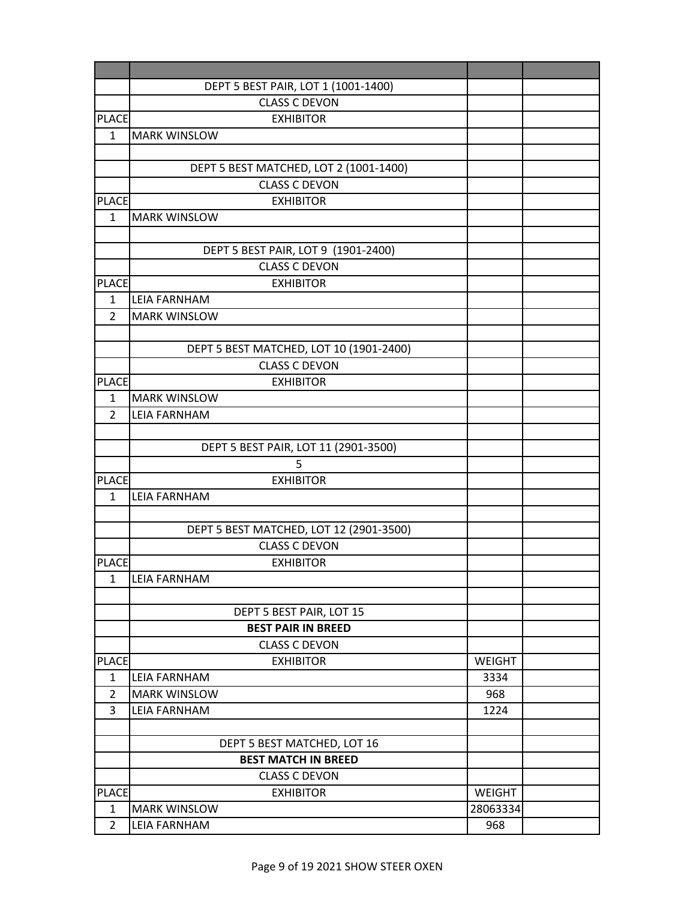|                | DEPT 5 BEST PAIR, LOT 1 (1001-1400)      |               |  |
|----------------|------------------------------------------|---------------|--|
|                | <b>CLASS C DEVON</b>                     |               |  |
| <b>PLACE</b>   | <b>EXHIBITOR</b>                         |               |  |
| $\mathbf{1}$   | <b>MARK WINSLOW</b>                      |               |  |
|                |                                          |               |  |
|                | DEPT 5 BEST MATCHED, LOT 2 (1001-1400)   |               |  |
|                | <b>CLASS C DEVON</b>                     |               |  |
| <b>PLACE</b>   | <b>EXHIBITOR</b>                         |               |  |
| $\mathbf{1}$   | <b>MARK WINSLOW</b>                      |               |  |
|                |                                          |               |  |
|                | DEPT 5 BEST PAIR, LOT 9 (1901-2400)      |               |  |
|                | <b>CLASS C DEVON</b>                     |               |  |
| <b>PLACE</b>   | <b>EXHIBITOR</b>                         |               |  |
| 1              | <b>LEIA FARNHAM</b>                      |               |  |
| $\overline{2}$ | <b>MARK WINSLOW</b>                      |               |  |
|                |                                          |               |  |
|                | DEPT 5 BEST MATCHED, LOT 10 (1901-2400)  |               |  |
|                | <b>CLASS C DEVON</b>                     |               |  |
| <b>PLACE</b>   | <b>EXHIBITOR</b>                         |               |  |
| $\mathbf{1}$   | <b>MARK WINSLOW</b>                      |               |  |
| $\overline{2}$ | <b>LEIA FARNHAM</b>                      |               |  |
|                |                                          |               |  |
|                | DEPT 5 BEST PAIR, LOT 11 (2901-3500)     |               |  |
|                | 5                                        |               |  |
| <b>PLACE</b>   | <b>EXHIBITOR</b>                         |               |  |
| $\mathbf{1}$   | <b>LEIA FARNHAM</b>                      |               |  |
|                |                                          |               |  |
|                | DEPT 5 BEST MATCHED, LOT 12 (2901-3500)  |               |  |
|                | <b>CLASS C DEVON</b>                     |               |  |
| <b>PLACE</b>   | <b>EXHIBITOR</b>                         |               |  |
| $\mathbf{1}$   | <b>LEIA FARNHAM</b>                      |               |  |
|                |                                          |               |  |
|                | DEPT 5 BEST PAIR, LOT 15                 |               |  |
|                | <b>BEST PAIR IN BREED</b>                |               |  |
| <b>PLACE</b>   | <b>CLASS C DEVON</b><br><b>EXHIBITOR</b> | <b>WEIGHT</b> |  |
| $\mathbf{1}$   | <b>LEIA FARNHAM</b>                      | 3334          |  |
| 2              | <b>MARK WINSLOW</b>                      | 968           |  |
| 3              | <b>LEIA FARNHAM</b>                      | 1224          |  |
|                |                                          |               |  |
|                | DEPT 5 BEST MATCHED, LOT 16              |               |  |
|                | <b>BEST MATCH IN BREED</b>               |               |  |
|                | <b>CLASS C DEVON</b>                     |               |  |
| <b>PLACE</b>   | <b>EXHIBITOR</b>                         | WEIGHT        |  |
| 1              | <b>MARK WINSLOW</b>                      | 28063334      |  |
| $\overline{2}$ | <b>LEIA FARNHAM</b>                      | 968           |  |
|                |                                          |               |  |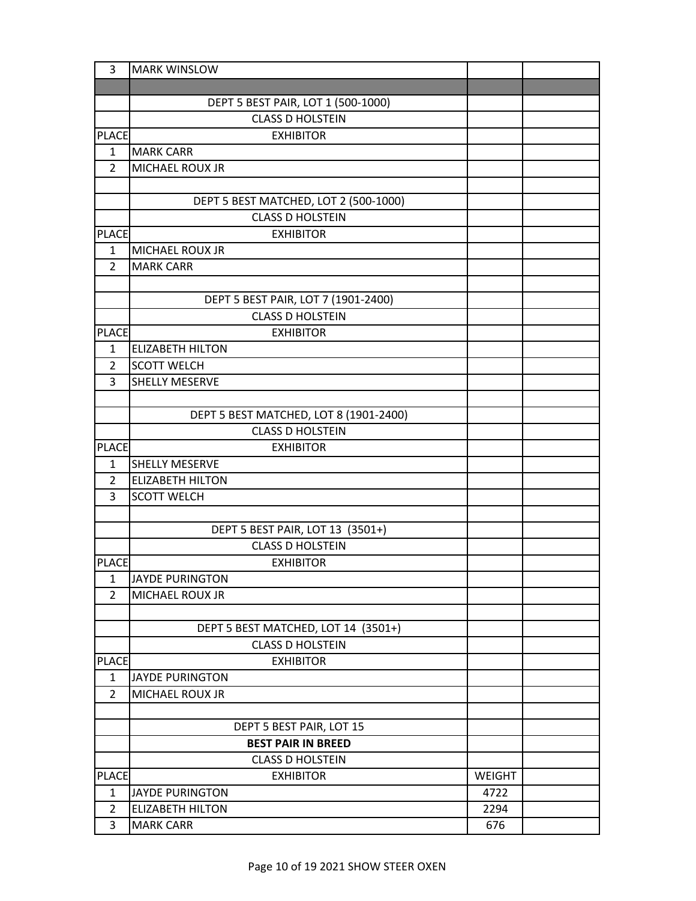| 3              | <b>MARK WINSLOW</b>                                         |        |  |
|----------------|-------------------------------------------------------------|--------|--|
|                |                                                             |        |  |
|                | DEPT 5 BEST PAIR, LOT 1 (500-1000)                          |        |  |
|                | <b>CLASS D HOLSTEIN</b>                                     |        |  |
| <b>PLACE</b>   | <b>EXHIBITOR</b>                                            |        |  |
| $\mathbf{1}$   | <b>MARK CARR</b>                                            |        |  |
| $\overline{2}$ | <b>MICHAEL ROUX JR</b>                                      |        |  |
|                |                                                             |        |  |
|                | DEPT 5 BEST MATCHED, LOT 2 (500-1000)                       |        |  |
|                | <b>CLASS D HOLSTEIN</b>                                     |        |  |
| <b>PLACE</b>   | <b>EXHIBITOR</b>                                            |        |  |
| $\mathbf{1}$   | <b>MICHAEL ROUX JR</b>                                      |        |  |
| 2              | <b>MARK CARR</b>                                            |        |  |
|                |                                                             |        |  |
|                | DEPT 5 BEST PAIR, LOT 7 (1901-2400)                         |        |  |
|                | <b>CLASS D HOLSTEIN</b>                                     |        |  |
| <b>PLACE</b>   | <b>EXHIBITOR</b>                                            |        |  |
| $\mathbf{1}$   | <b>ELIZABETH HILTON</b>                                     |        |  |
| 2              | <b>SCOTT WELCH</b>                                          |        |  |
| 3              | <b>SHELLY MESERVE</b>                                       |        |  |
|                |                                                             |        |  |
|                | DEPT 5 BEST MATCHED, LOT 8 (1901-2400)                      |        |  |
|                | <b>CLASS D HOLSTEIN</b>                                     |        |  |
| <b>PLACE</b>   | <b>EXHIBITOR</b>                                            |        |  |
| $\mathbf{1}$   | <b>SHELLY MESERVE</b>                                       |        |  |
| 2              | <b>ELIZABETH HILTON</b>                                     |        |  |
| 3              | <b>SCOTT WELCH</b>                                          |        |  |
|                |                                                             |        |  |
|                | DEPT 5 BEST PAIR, LOT 13 (3501+)<br><b>CLASS D HOLSTEIN</b> |        |  |
| <b>PLACE</b>   | <b>EXHIBITOR</b>                                            |        |  |
| 1              | JAYDE PURINGTON                                             |        |  |
| $\overline{2}$ | <b>MICHAEL ROUX JR</b>                                      |        |  |
|                |                                                             |        |  |
|                | DEPT 5 BEST MATCHED, LOT 14 (3501+)                         |        |  |
|                | <b>CLASS D HOLSTEIN</b>                                     |        |  |
| <b>PLACE</b>   | <b>EXHIBITOR</b>                                            |        |  |
| $\mathbf{1}$   | <b>JAYDE PURINGTON</b>                                      |        |  |
| $\overline{2}$ | MICHAEL ROUX JR                                             |        |  |
|                |                                                             |        |  |
|                | DEPT 5 BEST PAIR, LOT 15                                    |        |  |
|                | <b>BEST PAIR IN BREED</b>                                   |        |  |
|                | <b>CLASS D HOLSTEIN</b>                                     |        |  |
| <b>PLACE</b>   | <b>EXHIBITOR</b>                                            | WEIGHT |  |
| $\mathbf{1}$   | <b>JAYDE PURINGTON</b>                                      | 4722   |  |
| $\overline{2}$ | <b>ELIZABETH HILTON</b>                                     | 2294   |  |
| 3              | <b>MARK CARR</b>                                            | 676    |  |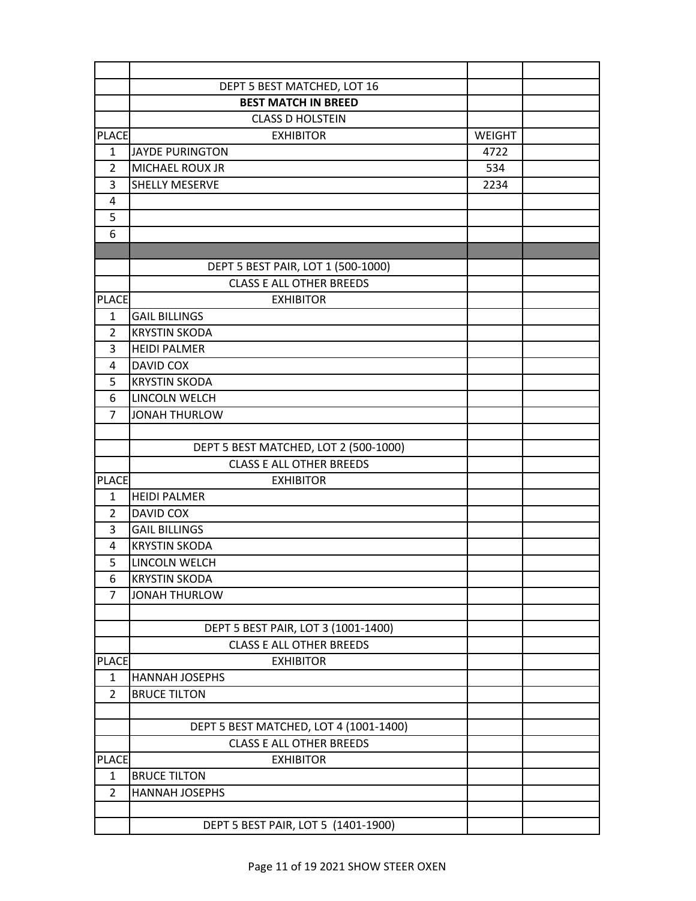|                                | DEPT 5 BEST MATCHED, LOT 16            |        |  |
|--------------------------------|----------------------------------------|--------|--|
|                                | <b>BEST MATCH IN BREED</b>             |        |  |
|                                | <b>CLASS D HOLSTEIN</b>                |        |  |
| <b>PLACE</b>                   | <b>EXHIBITOR</b>                       | WEIGHT |  |
| 1                              | JAYDE PURINGTON                        | 4722   |  |
| $\overline{2}$                 | <b>MICHAEL ROUX JR</b>                 | 534    |  |
| 3                              | <b>SHELLY MESERVE</b>                  | 2234   |  |
| 4                              |                                        |        |  |
| 5                              |                                        |        |  |
| 6                              |                                        |        |  |
|                                |                                        |        |  |
|                                | DEPT 5 BEST PAIR, LOT 1 (500-1000)     |        |  |
|                                | <b>CLASS E ALL OTHER BREEDS</b>        |        |  |
| <b>PLACE</b>                   | <b>EXHIBITOR</b>                       |        |  |
| $\mathbf{1}$                   | <b>GAIL BILLINGS</b>                   |        |  |
| 2                              | <b>KRYSTIN SKODA</b>                   |        |  |
| 3                              | <b>HEIDI PALMER</b>                    |        |  |
| 4                              | <b>DAVID COX</b>                       |        |  |
| 5                              | <b>KRYSTIN SKODA</b>                   |        |  |
| 6                              | LINCOLN WELCH                          |        |  |
| $\overline{7}$                 | <b>JONAH THURLOW</b>                   |        |  |
|                                |                                        |        |  |
|                                | DEPT 5 BEST MATCHED, LOT 2 (500-1000)  |        |  |
|                                | <b>CLASS E ALL OTHER BREEDS</b>        |        |  |
| <b>PLACE</b>                   | <b>EXHIBITOR</b>                       |        |  |
| 1                              | <b>HEIDI PALMER</b>                    |        |  |
| 2                              | <b>DAVID COX</b>                       |        |  |
| 3                              | <b>GAIL BILLINGS</b>                   |        |  |
| 4                              | <b>KRYSTIN SKODA</b>                   |        |  |
| 5                              | LINCOLN WELCH                          |        |  |
| 6                              | <b>KRYSTIN SKODA</b>                   |        |  |
| 7                              | <b>JONAH THURLOW</b>                   |        |  |
|                                |                                        |        |  |
|                                | DEPT 5 BEST PAIR, LOT 3 (1001-1400)    |        |  |
|                                | <b>CLASS E ALL OTHER BREEDS</b>        |        |  |
| <b>PLACE</b>                   | <b>EXHIBITOR</b>                       |        |  |
| $\mathbf{1}$<br>$\overline{2}$ | <b>HANNAH JOSEPHS</b>                  |        |  |
|                                | <b>BRUCE TILTON</b>                    |        |  |
|                                | DEPT 5 BEST MATCHED, LOT 4 (1001-1400) |        |  |
|                                | <b>CLASS E ALL OTHER BREEDS</b>        |        |  |
| <b>PLACE</b>                   | <b>EXHIBITOR</b>                       |        |  |
| $\mathbf{1}$                   | <b>BRUCE TILTON</b>                    |        |  |
| $\overline{2}$                 | <b>HANNAH JOSEPHS</b>                  |        |  |
|                                |                                        |        |  |
|                                | DEPT 5 BEST PAIR, LOT 5 (1401-1900)    |        |  |
|                                |                                        |        |  |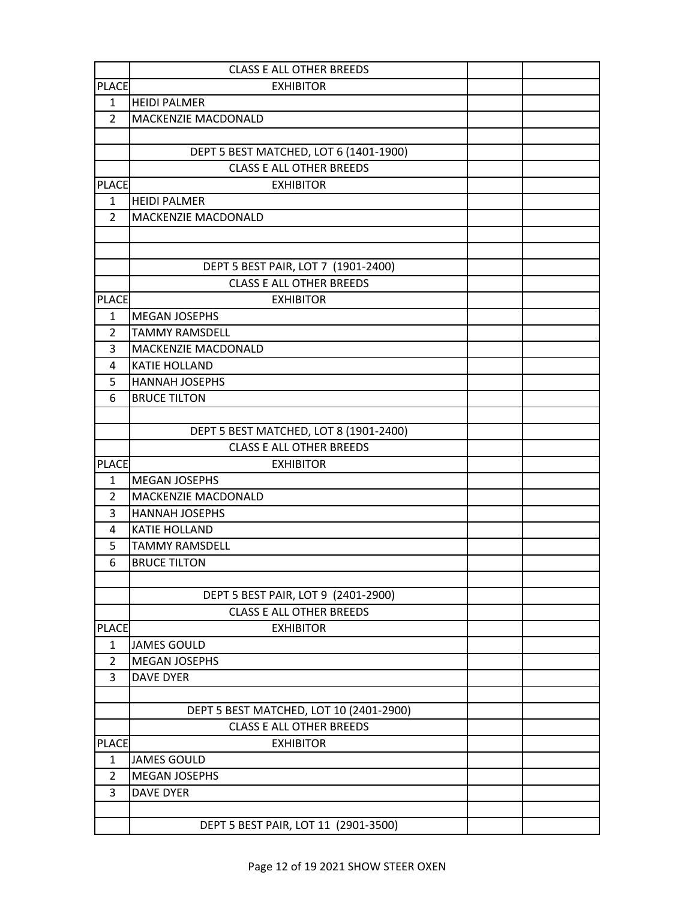| <b>PLACE</b><br><b>EXHIBITOR</b><br><b>HEIDI PALMER</b><br>$\mathbf{1}$<br>$\overline{2}$<br>MACKENZIE MACDONALD<br>DEPT 5 BEST MATCHED, LOT 6 (1401-1900)<br><b>CLASS E ALL OTHER BREEDS</b><br><b>PLACE</b><br><b>EXHIBITOR</b><br><b>HEIDI PALMER</b><br>1<br>MACKENZIE MACDONALD<br>$\overline{2}$<br>DEPT 5 BEST PAIR, LOT 7 (1901-2400)<br><b>CLASS E ALL OTHER BREEDS</b><br><b>PLACE</b><br><b>EXHIBITOR</b><br><b>MEGAN JOSEPHS</b><br>1<br>$\overline{2}$<br><b>TAMMY RAMSDELL</b><br>MACKENZIE MACDONALD<br>3<br><b>KATIE HOLLAND</b><br>4<br>5<br><b>HANNAH JOSEPHS</b><br>6<br><b>BRUCE TILTON</b><br>DEPT 5 BEST MATCHED, LOT 8 (1901-2400)<br><b>CLASS E ALL OTHER BREEDS</b><br><b>PLACE</b><br><b>EXHIBITOR</b><br>$\mathbf{1}$<br><b>MEGAN JOSEPHS</b><br>MACKENZIE MACDONALD<br>$\overline{2}$<br>3<br><b>HANNAH JOSEPHS</b><br><b>KATIE HOLLAND</b><br>4<br>5<br><b>TAMMY RAMSDELL</b><br><b>BRUCE TILTON</b><br>6<br>DEPT 5 BEST PAIR, LOT 9 (2401-2900)<br><b>CLASS E ALL OTHER BREEDS</b><br><b>PLACE</b><br><b>EXHIBITOR</b><br><b>JAMES GOULD</b><br>1<br><b>MEGAN JOSEPHS</b><br>$\overline{2}$<br>3<br><b>DAVE DYER</b><br>DEPT 5 BEST MATCHED, LOT 10 (2401-2900)<br><b>CLASS E ALL OTHER BREEDS</b><br><b>PLACE</b><br><b>EXHIBITOR</b><br>$\mathbf{1}$<br><b>JAMES GOULD</b><br><b>MEGAN JOSEPHS</b><br>2<br>3<br><b>DAVE DYER</b><br>DEPT 5 BEST PAIR, LOT 11 (2901-3500) | <b>CLASS E ALL OTHER BREEDS</b> |  |
|----------------------------------------------------------------------------------------------------------------------------------------------------------------------------------------------------------------------------------------------------------------------------------------------------------------------------------------------------------------------------------------------------------------------------------------------------------------------------------------------------------------------------------------------------------------------------------------------------------------------------------------------------------------------------------------------------------------------------------------------------------------------------------------------------------------------------------------------------------------------------------------------------------------------------------------------------------------------------------------------------------------------------------------------------------------------------------------------------------------------------------------------------------------------------------------------------------------------------------------------------------------------------------------------------------------------------------------------------------------------------------------------------------|---------------------------------|--|
|                                                                                                                                                                                                                                                                                                                                                                                                                                                                                                                                                                                                                                                                                                                                                                                                                                                                                                                                                                                                                                                                                                                                                                                                                                                                                                                                                                                                          |                                 |  |
|                                                                                                                                                                                                                                                                                                                                                                                                                                                                                                                                                                                                                                                                                                                                                                                                                                                                                                                                                                                                                                                                                                                                                                                                                                                                                                                                                                                                          |                                 |  |
|                                                                                                                                                                                                                                                                                                                                                                                                                                                                                                                                                                                                                                                                                                                                                                                                                                                                                                                                                                                                                                                                                                                                                                                                                                                                                                                                                                                                          |                                 |  |
|                                                                                                                                                                                                                                                                                                                                                                                                                                                                                                                                                                                                                                                                                                                                                                                                                                                                                                                                                                                                                                                                                                                                                                                                                                                                                                                                                                                                          |                                 |  |
|                                                                                                                                                                                                                                                                                                                                                                                                                                                                                                                                                                                                                                                                                                                                                                                                                                                                                                                                                                                                                                                                                                                                                                                                                                                                                                                                                                                                          |                                 |  |
|                                                                                                                                                                                                                                                                                                                                                                                                                                                                                                                                                                                                                                                                                                                                                                                                                                                                                                                                                                                                                                                                                                                                                                                                                                                                                                                                                                                                          |                                 |  |
|                                                                                                                                                                                                                                                                                                                                                                                                                                                                                                                                                                                                                                                                                                                                                                                                                                                                                                                                                                                                                                                                                                                                                                                                                                                                                                                                                                                                          |                                 |  |
|                                                                                                                                                                                                                                                                                                                                                                                                                                                                                                                                                                                                                                                                                                                                                                                                                                                                                                                                                                                                                                                                                                                                                                                                                                                                                                                                                                                                          |                                 |  |
|                                                                                                                                                                                                                                                                                                                                                                                                                                                                                                                                                                                                                                                                                                                                                                                                                                                                                                                                                                                                                                                                                                                                                                                                                                                                                                                                                                                                          |                                 |  |
|                                                                                                                                                                                                                                                                                                                                                                                                                                                                                                                                                                                                                                                                                                                                                                                                                                                                                                                                                                                                                                                                                                                                                                                                                                                                                                                                                                                                          |                                 |  |
|                                                                                                                                                                                                                                                                                                                                                                                                                                                                                                                                                                                                                                                                                                                                                                                                                                                                                                                                                                                                                                                                                                                                                                                                                                                                                                                                                                                                          |                                 |  |
|                                                                                                                                                                                                                                                                                                                                                                                                                                                                                                                                                                                                                                                                                                                                                                                                                                                                                                                                                                                                                                                                                                                                                                                                                                                                                                                                                                                                          |                                 |  |
|                                                                                                                                                                                                                                                                                                                                                                                                                                                                                                                                                                                                                                                                                                                                                                                                                                                                                                                                                                                                                                                                                                                                                                                                                                                                                                                                                                                                          |                                 |  |
|                                                                                                                                                                                                                                                                                                                                                                                                                                                                                                                                                                                                                                                                                                                                                                                                                                                                                                                                                                                                                                                                                                                                                                                                                                                                                                                                                                                                          |                                 |  |
|                                                                                                                                                                                                                                                                                                                                                                                                                                                                                                                                                                                                                                                                                                                                                                                                                                                                                                                                                                                                                                                                                                                                                                                                                                                                                                                                                                                                          |                                 |  |
|                                                                                                                                                                                                                                                                                                                                                                                                                                                                                                                                                                                                                                                                                                                                                                                                                                                                                                                                                                                                                                                                                                                                                                                                                                                                                                                                                                                                          |                                 |  |
|                                                                                                                                                                                                                                                                                                                                                                                                                                                                                                                                                                                                                                                                                                                                                                                                                                                                                                                                                                                                                                                                                                                                                                                                                                                                                                                                                                                                          |                                 |  |
|                                                                                                                                                                                                                                                                                                                                                                                                                                                                                                                                                                                                                                                                                                                                                                                                                                                                                                                                                                                                                                                                                                                                                                                                                                                                                                                                                                                                          |                                 |  |
|                                                                                                                                                                                                                                                                                                                                                                                                                                                                                                                                                                                                                                                                                                                                                                                                                                                                                                                                                                                                                                                                                                                                                                                                                                                                                                                                                                                                          |                                 |  |
|                                                                                                                                                                                                                                                                                                                                                                                                                                                                                                                                                                                                                                                                                                                                                                                                                                                                                                                                                                                                                                                                                                                                                                                                                                                                                                                                                                                                          |                                 |  |
|                                                                                                                                                                                                                                                                                                                                                                                                                                                                                                                                                                                                                                                                                                                                                                                                                                                                                                                                                                                                                                                                                                                                                                                                                                                                                                                                                                                                          |                                 |  |
|                                                                                                                                                                                                                                                                                                                                                                                                                                                                                                                                                                                                                                                                                                                                                                                                                                                                                                                                                                                                                                                                                                                                                                                                                                                                                                                                                                                                          |                                 |  |
|                                                                                                                                                                                                                                                                                                                                                                                                                                                                                                                                                                                                                                                                                                                                                                                                                                                                                                                                                                                                                                                                                                                                                                                                                                                                                                                                                                                                          |                                 |  |
|                                                                                                                                                                                                                                                                                                                                                                                                                                                                                                                                                                                                                                                                                                                                                                                                                                                                                                                                                                                                                                                                                                                                                                                                                                                                                                                                                                                                          |                                 |  |
|                                                                                                                                                                                                                                                                                                                                                                                                                                                                                                                                                                                                                                                                                                                                                                                                                                                                                                                                                                                                                                                                                                                                                                                                                                                                                                                                                                                                          |                                 |  |
|                                                                                                                                                                                                                                                                                                                                                                                                                                                                                                                                                                                                                                                                                                                                                                                                                                                                                                                                                                                                                                                                                                                                                                                                                                                                                                                                                                                                          |                                 |  |
|                                                                                                                                                                                                                                                                                                                                                                                                                                                                                                                                                                                                                                                                                                                                                                                                                                                                                                                                                                                                                                                                                                                                                                                                                                                                                                                                                                                                          |                                 |  |
|                                                                                                                                                                                                                                                                                                                                                                                                                                                                                                                                                                                                                                                                                                                                                                                                                                                                                                                                                                                                                                                                                                                                                                                                                                                                                                                                                                                                          |                                 |  |
|                                                                                                                                                                                                                                                                                                                                                                                                                                                                                                                                                                                                                                                                                                                                                                                                                                                                                                                                                                                                                                                                                                                                                                                                                                                                                                                                                                                                          |                                 |  |
|                                                                                                                                                                                                                                                                                                                                                                                                                                                                                                                                                                                                                                                                                                                                                                                                                                                                                                                                                                                                                                                                                                                                                                                                                                                                                                                                                                                                          |                                 |  |
|                                                                                                                                                                                                                                                                                                                                                                                                                                                                                                                                                                                                                                                                                                                                                                                                                                                                                                                                                                                                                                                                                                                                                                                                                                                                                                                                                                                                          |                                 |  |
|                                                                                                                                                                                                                                                                                                                                                                                                                                                                                                                                                                                                                                                                                                                                                                                                                                                                                                                                                                                                                                                                                                                                                                                                                                                                                                                                                                                                          |                                 |  |
|                                                                                                                                                                                                                                                                                                                                                                                                                                                                                                                                                                                                                                                                                                                                                                                                                                                                                                                                                                                                                                                                                                                                                                                                                                                                                                                                                                                                          |                                 |  |
|                                                                                                                                                                                                                                                                                                                                                                                                                                                                                                                                                                                                                                                                                                                                                                                                                                                                                                                                                                                                                                                                                                                                                                                                                                                                                                                                                                                                          |                                 |  |
|                                                                                                                                                                                                                                                                                                                                                                                                                                                                                                                                                                                                                                                                                                                                                                                                                                                                                                                                                                                                                                                                                                                                                                                                                                                                                                                                                                                                          |                                 |  |
|                                                                                                                                                                                                                                                                                                                                                                                                                                                                                                                                                                                                                                                                                                                                                                                                                                                                                                                                                                                                                                                                                                                                                                                                                                                                                                                                                                                                          |                                 |  |
|                                                                                                                                                                                                                                                                                                                                                                                                                                                                                                                                                                                                                                                                                                                                                                                                                                                                                                                                                                                                                                                                                                                                                                                                                                                                                                                                                                                                          |                                 |  |
|                                                                                                                                                                                                                                                                                                                                                                                                                                                                                                                                                                                                                                                                                                                                                                                                                                                                                                                                                                                                                                                                                                                                                                                                                                                                                                                                                                                                          |                                 |  |
|                                                                                                                                                                                                                                                                                                                                                                                                                                                                                                                                                                                                                                                                                                                                                                                                                                                                                                                                                                                                                                                                                                                                                                                                                                                                                                                                                                                                          |                                 |  |
|                                                                                                                                                                                                                                                                                                                                                                                                                                                                                                                                                                                                                                                                                                                                                                                                                                                                                                                                                                                                                                                                                                                                                                                                                                                                                                                                                                                                          |                                 |  |
|                                                                                                                                                                                                                                                                                                                                                                                                                                                                                                                                                                                                                                                                                                                                                                                                                                                                                                                                                                                                                                                                                                                                                                                                                                                                                                                                                                                                          |                                 |  |
|                                                                                                                                                                                                                                                                                                                                                                                                                                                                                                                                                                                                                                                                                                                                                                                                                                                                                                                                                                                                                                                                                                                                                                                                                                                                                                                                                                                                          |                                 |  |
|                                                                                                                                                                                                                                                                                                                                                                                                                                                                                                                                                                                                                                                                                                                                                                                                                                                                                                                                                                                                                                                                                                                                                                                                                                                                                                                                                                                                          |                                 |  |
|                                                                                                                                                                                                                                                                                                                                                                                                                                                                                                                                                                                                                                                                                                                                                                                                                                                                                                                                                                                                                                                                                                                                                                                                                                                                                                                                                                                                          |                                 |  |
|                                                                                                                                                                                                                                                                                                                                                                                                                                                                                                                                                                                                                                                                                                                                                                                                                                                                                                                                                                                                                                                                                                                                                                                                                                                                                                                                                                                                          |                                 |  |
|                                                                                                                                                                                                                                                                                                                                                                                                                                                                                                                                                                                                                                                                                                                                                                                                                                                                                                                                                                                                                                                                                                                                                                                                                                                                                                                                                                                                          |                                 |  |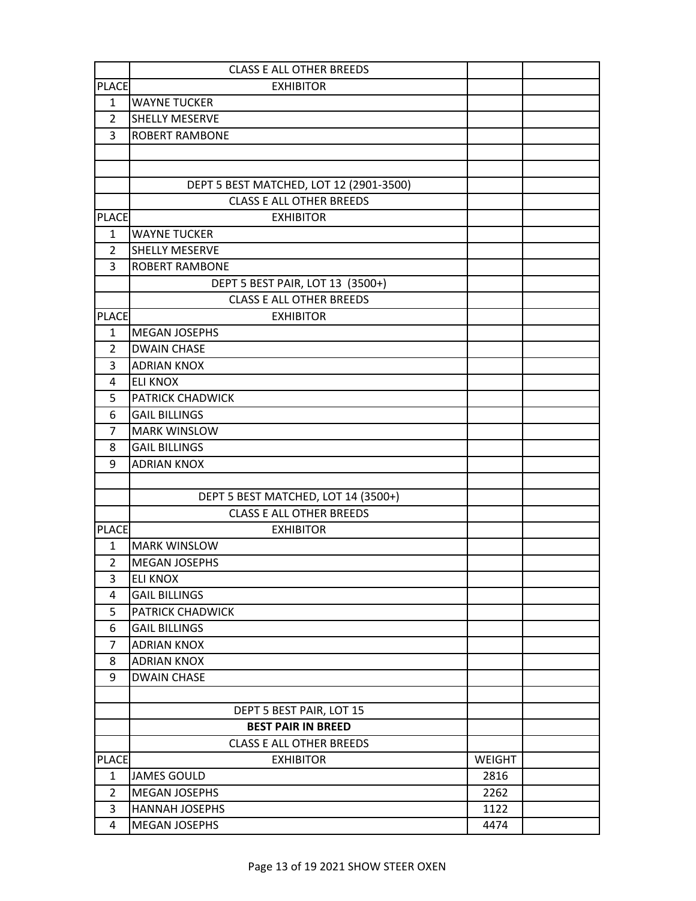|                | <b>CLASS E ALL OTHER BREEDS</b>                              |               |  |
|----------------|--------------------------------------------------------------|---------------|--|
| <b>PLACE</b>   | <b>EXHIBITOR</b>                                             |               |  |
| $\mathbf{1}$   | <b>WAYNE TUCKER</b>                                          |               |  |
| $\overline{2}$ | <b>SHELLY MESERVE</b>                                        |               |  |
| 3              | <b>ROBERT RAMBONE</b>                                        |               |  |
|                |                                                              |               |  |
|                |                                                              |               |  |
|                | DEPT 5 BEST MATCHED, LOT 12 (2901-3500)                      |               |  |
|                | <b>CLASS E ALL OTHER BREEDS</b>                              |               |  |
| <b>PLACE</b>   | <b>EXHIBITOR</b>                                             |               |  |
| $\mathbf{1}$   | <b>WAYNE TUCKER</b>                                          |               |  |
| $\overline{2}$ | SHELLY MESERVE                                               |               |  |
| 3              | <b>ROBERT RAMBONE</b>                                        |               |  |
|                | DEPT 5 BEST PAIR, LOT 13 (3500+)                             |               |  |
|                | <b>CLASS E ALL OTHER BREEDS</b>                              |               |  |
| <b>PLACE</b>   | <b>EXHIBITOR</b>                                             |               |  |
| $\mathbf{1}$   | <b>MEGAN JOSEPHS</b>                                         |               |  |
| 2              | <b>DWAIN CHASE</b>                                           |               |  |
| 3              | <b>ADRIAN KNOX</b>                                           |               |  |
| 4              | <b>ELI KNOX</b>                                              |               |  |
| 5              | PATRICK CHADWICK                                             |               |  |
| 6              | <b>GAIL BILLINGS</b>                                         |               |  |
| 7              | <b>MARK WINSLOW</b>                                          |               |  |
| 8              | <b>GAIL BILLINGS</b>                                         |               |  |
| 9              | <b>ADRIAN KNOX</b>                                           |               |  |
|                |                                                              |               |  |
|                | DEPT 5 BEST MATCHED, LOT 14 (3500+)                          |               |  |
|                | <b>CLASS E ALL OTHER BREEDS</b>                              |               |  |
| <b>PLACE</b>   | <b>EXHIBITOR</b>                                             |               |  |
| $\mathbf{1}$   | <b>MARK WINSLOW</b>                                          |               |  |
| $\overline{2}$ | <b>MEGAN JOSEPHS</b>                                         |               |  |
| 3              | <b>ELI KNOX</b>                                              |               |  |
| 4              | <b>GAIL BILLINGS</b>                                         |               |  |
| 5              | PATRICK CHADWICK                                             |               |  |
| 6              | <b>GAIL BILLINGS</b>                                         |               |  |
| 7              | <b>ADRIAN KNOX</b>                                           |               |  |
| 8              | <b>ADRIAN KNOX</b>                                           |               |  |
| 9              | <b>DWAIN CHASE</b>                                           |               |  |
|                |                                                              |               |  |
|                | DEPT 5 BEST PAIR, LOT 15                                     |               |  |
|                | <b>BEST PAIR IN BREED</b><br><b>CLASS E ALL OTHER BREEDS</b> |               |  |
| <b>PLACE</b>   | <b>EXHIBITOR</b>                                             | <b>WEIGHT</b> |  |
| $\mathbf{1}$   | <b>JAMES GOULD</b>                                           | 2816          |  |
| $\overline{2}$ | <b>MEGAN JOSEPHS</b>                                         | 2262          |  |
| 3              | <b>HANNAH JOSEPHS</b>                                        | 1122          |  |
| 4              | <b>MEGAN JOSEPHS</b>                                         | 4474          |  |
|                |                                                              |               |  |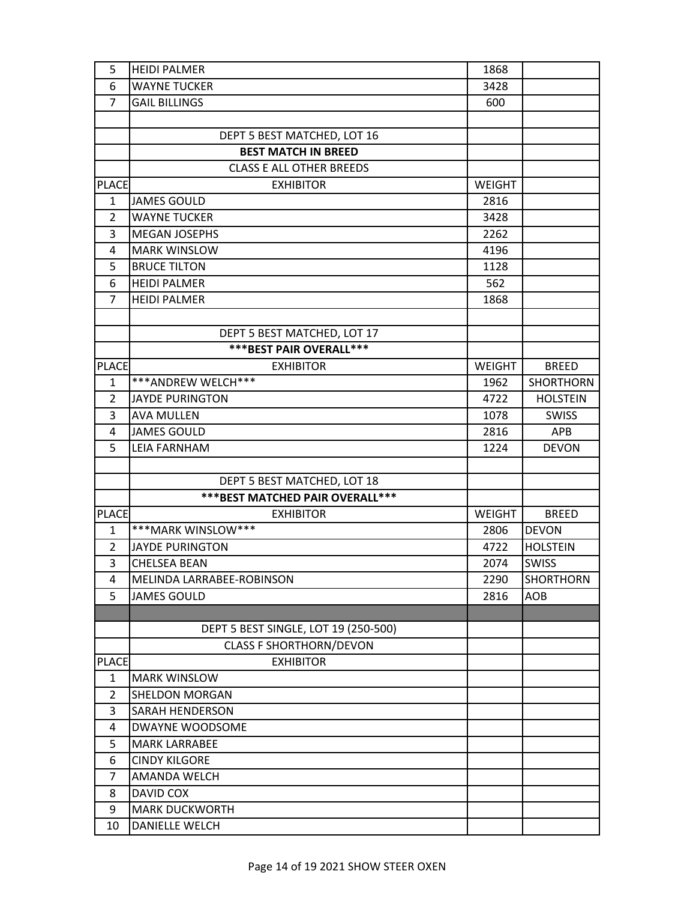| 5              | <b>HEIDI PALMER</b>                  | 1868          |                  |
|----------------|--------------------------------------|---------------|------------------|
| 6              | <b>WAYNE TUCKER</b>                  | 3428          |                  |
| $\overline{7}$ | <b>GAIL BILLINGS</b>                 | 600           |                  |
|                |                                      |               |                  |
|                | DEPT 5 BEST MATCHED, LOT 16          |               |                  |
|                | <b>BEST MATCH IN BREED</b>           |               |                  |
|                | <b>CLASS E ALL OTHER BREEDS</b>      |               |                  |
| <b>PLACE</b>   | <b>EXHIBITOR</b>                     | <b>WEIGHT</b> |                  |
| 1              | <b>JAMES GOULD</b>                   | 2816          |                  |
| $\overline{2}$ | <b>WAYNE TUCKER</b>                  | 3428          |                  |
| 3              | <b>MEGAN JOSEPHS</b>                 | 2262          |                  |
| 4              | <b>MARK WINSLOW</b>                  | 4196          |                  |
| 5              | <b>BRUCE TILTON</b>                  | 1128          |                  |
| 6              | <b>HEIDI PALMER</b>                  | 562           |                  |
| $\overline{7}$ | <b>HEIDI PALMER</b>                  | 1868          |                  |
|                |                                      |               |                  |
|                | DEPT 5 BEST MATCHED, LOT 17          |               |                  |
|                | *** BEST PAIR OVERALL ***            |               |                  |
| <b>PLACE</b>   | <b>EXHIBITOR</b>                     | <b>WEIGHT</b> | <b>BREED</b>     |
| $\mathbf{1}$   | ***ANDREW WELCH***                   | 1962          | <b>SHORTHORN</b> |
| 2              | <b>JAYDE PURINGTON</b>               | 4722          | <b>HOLSTEIN</b>  |
| 3              | <b>AVA MULLEN</b>                    | 1078          | <b>SWISS</b>     |
| 4              | <b>JAMES GOULD</b>                   | 2816          | <b>APB</b>       |
| 5              | <b>LEIA FARNHAM</b>                  | 1224          | <b>DEVON</b>     |
|                |                                      |               |                  |
|                | DEPT 5 BEST MATCHED, LOT 18          |               |                  |
|                | *** BEST MATCHED PAIR OVERALL ***    |               |                  |
| <b>PLACE</b>   | <b>EXHIBITOR</b>                     | <b>WEIGHT</b> | <b>BREED</b>     |
| $\mathbf{1}$   | ***MARK WINSLOW***                   | 2806          | <b>DEVON</b>     |
| $\overline{2}$ | <b>JAYDE PURINGTON</b>               | 4722          | <b>HOLSTEIN</b>  |
| 3              | <b>CHELSEA BEAN</b>                  | 2074          | <b>SWISS</b>     |
| 4              | MELINDA LARRABEE-ROBINSON            | 2290          | SHORTHORN        |
| 5              | <b>JAMES GOULD</b>                   | 2816          | AOB              |
|                |                                      |               |                  |
|                | DEPT 5 BEST SINGLE, LOT 19 (250-500) |               |                  |
|                | <b>CLASS F SHORTHORN/DEVON</b>       |               |                  |
| <b>PLACE</b>   | <b>EXHIBITOR</b>                     |               |                  |
| 1              | <b>MARK WINSLOW</b>                  |               |                  |
| $\overline{2}$ | <b>SHELDON MORGAN</b>                |               |                  |
| 3              | <b>SARAH HENDERSON</b>               |               |                  |
| 4              | DWAYNE WOODSOME                      |               |                  |
| 5              | <b>MARK LARRABEE</b>                 |               |                  |
| 6              | <b>CINDY KILGORE</b>                 |               |                  |
| 7              | AMANDA WELCH                         |               |                  |
| 8              | DAVID COX                            |               |                  |
| 9              | <b>MARK DUCKWORTH</b>                |               |                  |
|                | DANIELLE WELCH                       |               |                  |
| 10             |                                      |               |                  |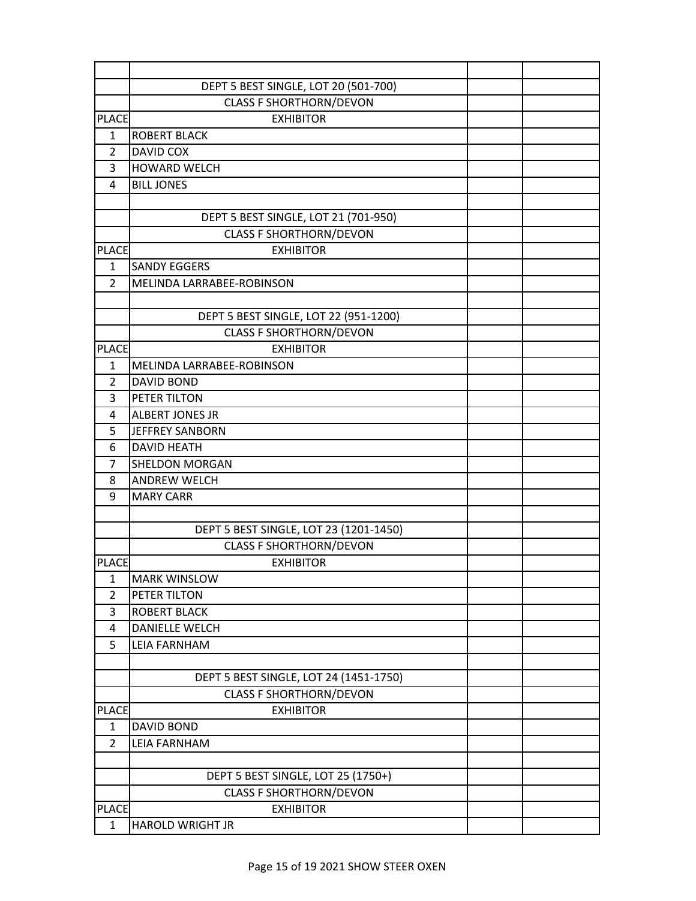|                | DEPT 5 BEST SINGLE, LOT 20 (501-700)   |  |
|----------------|----------------------------------------|--|
|                | <b>CLASS F SHORTHORN/DEVON</b>         |  |
| <b>PLACE</b>   | <b>EXHIBITOR</b>                       |  |
| $\mathbf{1}$   | <b>ROBERT BLACK</b>                    |  |
| $\overline{2}$ | <b>DAVID COX</b>                       |  |
| 3              | <b>HOWARD WELCH</b>                    |  |
| 4              | <b>BILL JONES</b>                      |  |
|                |                                        |  |
|                | DEPT 5 BEST SINGLE, LOT 21 (701-950)   |  |
|                | <b>CLASS F SHORTHORN/DEVON</b>         |  |
| <b>PLACE</b>   | <b>EXHIBITOR</b>                       |  |
| $\mathbf{1}$   | <b>SANDY EGGERS</b>                    |  |
| $\overline{2}$ | MELINDA LARRABEE-ROBINSON              |  |
|                |                                        |  |
|                | DEPT 5 BEST SINGLE, LOT 22 (951-1200)  |  |
|                | <b>CLASS F SHORTHORN/DEVON</b>         |  |
| <b>PLACE</b>   | <b>EXHIBITOR</b>                       |  |
| 1              | MELINDA LARRABEE-ROBINSON              |  |
| $\overline{2}$ | <b>DAVID BOND</b>                      |  |
| 3              | PETER TILTON                           |  |
| 4              | <b>ALBERT JONES JR</b>                 |  |
| 5              | JEFFREY SANBORN                        |  |
| 6              | <b>DAVID HEATH</b>                     |  |
| 7              | <b>SHELDON MORGAN</b>                  |  |
| 8              | <b>ANDREW WELCH</b>                    |  |
| 9              | <b>MARY CARR</b>                       |  |
|                |                                        |  |
|                | DEPT 5 BEST SINGLE, LOT 23 (1201-1450) |  |
|                | <b>CLASS F SHORTHORN/DEVON</b>         |  |
| <b>PLACE</b>   | <b>EXHIBITOR</b>                       |  |
| $\mathbf 1$    | <b>MARK WINSLOW</b>                    |  |
| $\overline{2}$ | PETER TILTON                           |  |
| 3              | <b>ROBERT BLACK</b>                    |  |
| 4              | <b>DANIELLE WELCH</b>                  |  |
| 5              | <b>LEIA FARNHAM</b>                    |  |
|                |                                        |  |
|                | DEPT 5 BEST SINGLE, LOT 24 (1451-1750) |  |
|                | <b>CLASS F SHORTHORN/DEVON</b>         |  |
| <b>PLACE</b>   | <b>EXHIBITOR</b>                       |  |
| 1              | <b>DAVID BOND</b>                      |  |
| $\overline{2}$ | <b>LEIA FARNHAM</b>                    |  |
|                |                                        |  |
|                | DEPT 5 BEST SINGLE, LOT 25 (1750+)     |  |
|                | <b>CLASS F SHORTHORN/DEVON</b>         |  |
| <b>PLACE</b>   | <b>EXHIBITOR</b>                       |  |
| $\mathbf{1}$   | <b>HAROLD WRIGHT JR</b>                |  |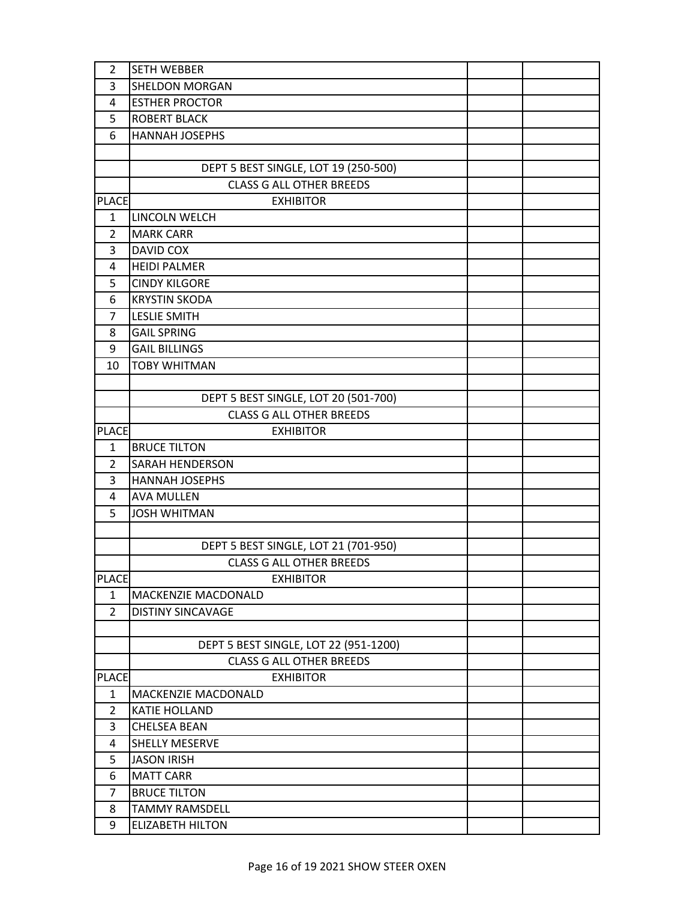| 2              | <b>SETH WEBBER</b>                    |  |
|----------------|---------------------------------------|--|
| 3              | SHELDON MORGAN                        |  |
| 4              | <b>ESTHER PROCTOR</b>                 |  |
| 5              | <b>ROBERT BLACK</b>                   |  |
| 6              | <b>HANNAH JOSEPHS</b>                 |  |
|                |                                       |  |
|                | DEPT 5 BEST SINGLE, LOT 19 (250-500)  |  |
|                | <b>CLASS G ALL OTHER BREEDS</b>       |  |
| <b>PLACE</b>   | <b>EXHIBITOR</b>                      |  |
| $\mathbf{1}$   | LINCOLN WELCH                         |  |
| 2              | <b>MARK CARR</b>                      |  |
| 3              | DAVID COX                             |  |
| 4              | <b>HEIDI PALMER</b>                   |  |
| 5              | <b>CINDY KILGORE</b>                  |  |
| 6              | <b>KRYSTIN SKODA</b>                  |  |
| 7              | <b>LESLIE SMITH</b>                   |  |
| 8              | <b>GAIL SPRING</b>                    |  |
| 9              | <b>GAIL BILLINGS</b>                  |  |
| 10             | <b>TOBY WHITMAN</b>                   |  |
|                |                                       |  |
|                | DEPT 5 BEST SINGLE, LOT 20 (501-700)  |  |
|                | <b>CLASS G ALL OTHER BREEDS</b>       |  |
| <b>PLACE</b>   | <b>EXHIBITOR</b>                      |  |
| $\mathbf{1}$   | <b>BRUCE TILTON</b>                   |  |
| $\overline{2}$ | <b>SARAH HENDERSON</b>                |  |
| 3              | <b>HANNAH JOSEPHS</b>                 |  |
| 4              | <b>AVA MULLEN</b>                     |  |
| 5              | <b>JOSH WHITMAN</b>                   |  |
|                |                                       |  |
|                | DEPT 5 BEST SINGLE, LOT 21 (701-950)  |  |
|                | <b>CLASS G ALL OTHER BREEDS</b>       |  |
| <b>PLACE</b>   | <b>EXHIBITOR</b>                      |  |
| $\mathbf{1}$   | MACKENZIE MACDONALD                   |  |
| $\overline{2}$ | <b>DISTINY SINCAVAGE</b>              |  |
|                |                                       |  |
|                | DEPT 5 BEST SINGLE, LOT 22 (951-1200) |  |
|                | <b>CLASS G ALL OTHER BREEDS</b>       |  |
| <b>PLACE</b>   | <b>EXHIBITOR</b>                      |  |
| $\mathbf{1}$   | MACKENZIE MACDONALD                   |  |
| 2              | <b>KATIE HOLLAND</b>                  |  |
| 3              | <b>CHELSEA BEAN</b>                   |  |
| 4              | <b>SHELLY MESERVE</b>                 |  |
| 5              | <b>JASON IRISH</b>                    |  |
| 6              | <b>MATT CARR</b>                      |  |
| 7              | <b>BRUCE TILTON</b>                   |  |
| 8              | TAMMY RAMSDELL                        |  |
| 9              | <b>ELIZABETH HILTON</b>               |  |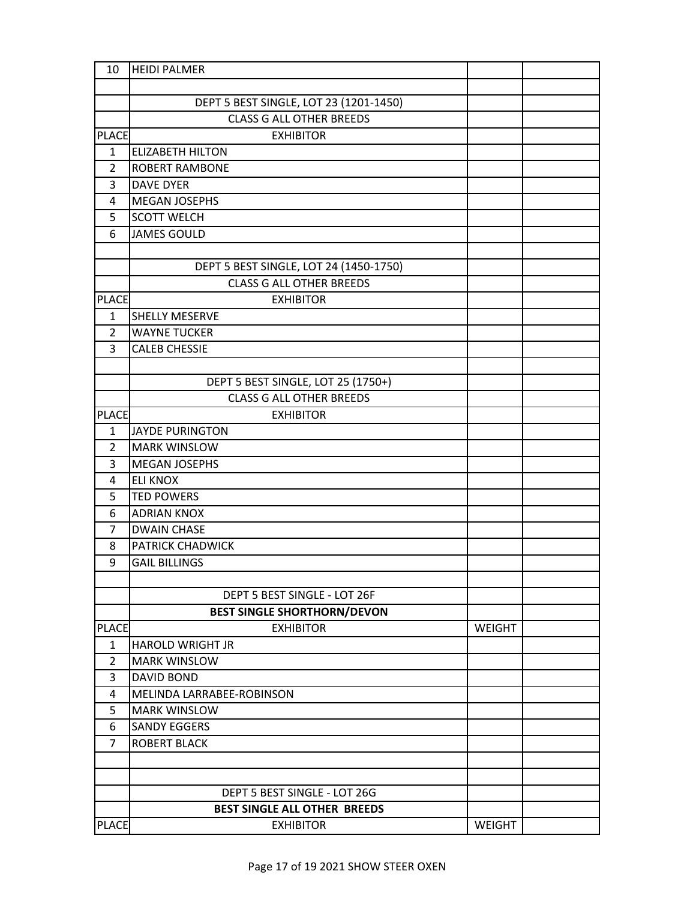| 10             | <b>HEIDI PALMER</b>                            |               |  |
|----------------|------------------------------------------------|---------------|--|
|                |                                                |               |  |
|                | DEPT 5 BEST SINGLE, LOT 23 (1201-1450)         |               |  |
|                | <b>CLASS G ALL OTHER BREEDS</b>                |               |  |
| <b>PLACE</b>   | <b>EXHIBITOR</b>                               |               |  |
| $\mathbf{1}$   | <b>ELIZABETH HILTON</b>                        |               |  |
| $\overline{2}$ | <b>ROBERT RAMBONE</b>                          |               |  |
| 3              | <b>DAVE DYER</b>                               |               |  |
| 4              | <b>MEGAN JOSEPHS</b>                           |               |  |
| 5              | <b>SCOTT WELCH</b>                             |               |  |
| 6              | <b>JAMES GOULD</b>                             |               |  |
|                |                                                |               |  |
|                | DEPT 5 BEST SINGLE, LOT 24 (1450-1750)         |               |  |
|                | <b>CLASS G ALL OTHER BREEDS</b>                |               |  |
| <b>PLACE</b>   | <b>EXHIBITOR</b>                               |               |  |
| $\mathbf{1}$   | <b>SHELLY MESERVE</b>                          |               |  |
| 2              | <b>WAYNE TUCKER</b>                            |               |  |
| 3              | <b>CALEB CHESSIE</b>                           |               |  |
|                |                                                |               |  |
|                | DEPT 5 BEST SINGLE, LOT 25 (1750+)             |               |  |
|                | <b>CLASS G ALL OTHER BREEDS</b>                |               |  |
| <b>PLACE</b>   | <b>EXHIBITOR</b>                               |               |  |
| $\mathbf{1}$   | JAYDE PURINGTON                                |               |  |
| $\overline{2}$ | <b>MARK WINSLOW</b>                            |               |  |
| 3              | MEGAN JOSEPHS                                  |               |  |
| 4              | <b>ELI KNOX</b>                                |               |  |
| 5              | <b>TED POWERS</b>                              |               |  |
| 6              | <b>ADRIAN KNOX</b>                             |               |  |
| 7              | <b>DWAIN CHASE</b>                             |               |  |
| 8              | PATRICK CHADWICK                               |               |  |
| 9              | <b>GAIL BILLINGS</b>                           |               |  |
|                |                                                |               |  |
|                | DEPT 5 BEST SINGLE - LOT 26F                   |               |  |
|                | <b>BEST SINGLE SHORTHORN/DEVON</b>             |               |  |
| <b>PLACE</b>   | <b>EXHIBITOR</b>                               | <b>WEIGHT</b> |  |
| 1<br>2         | <b>HAROLD WRIGHT JR</b><br><b>MARK WINSLOW</b> |               |  |
| 3              | <b>DAVID BOND</b>                              |               |  |
| 4              | MELINDA LARRABEE-ROBINSON                      |               |  |
| 5              | <b>MARK WINSLOW</b>                            |               |  |
| 6              | <b>SANDY EGGERS</b>                            |               |  |
| $\overline{7}$ | <b>ROBERT BLACK</b>                            |               |  |
|                |                                                |               |  |
|                |                                                |               |  |
|                | DEPT 5 BEST SINGLE - LOT 26G                   |               |  |
|                | BEST SINGLE ALL OTHER BREEDS                   |               |  |
| <b>PLACE</b>   | <b>EXHIBITOR</b>                               | <b>WEIGHT</b> |  |
|                |                                                |               |  |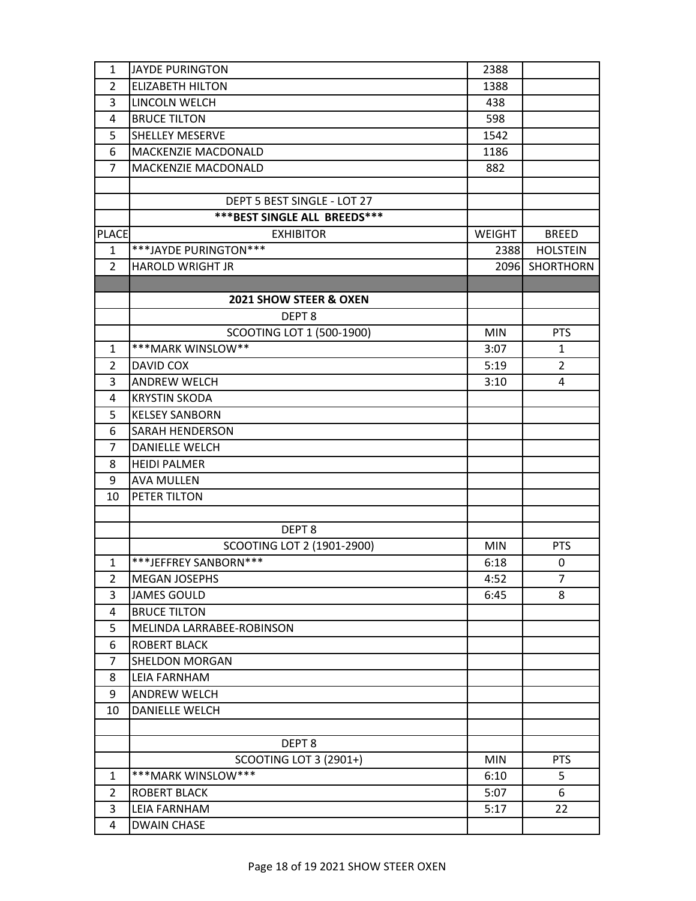| 1              | <b>JAYDE PURINGTON</b>              | 2388          |                  |
|----------------|-------------------------------------|---------------|------------------|
| $\overline{2}$ | <b>ELIZABETH HILTON</b>             | 1388          |                  |
| 3              | LINCOLN WELCH                       | 438           |                  |
| 4              | <b>BRUCE TILTON</b>                 | 598           |                  |
| 5              | <b>SHELLEY MESERVE</b>              | 1542          |                  |
| 6              | MACKENZIE MACDONALD                 | 1186          |                  |
| $\overline{7}$ | MACKENZIE MACDONALD                 | 882           |                  |
|                |                                     |               |                  |
|                | DEPT 5 BEST SINGLE - LOT 27         |               |                  |
|                | <b>***BEST SINGLE ALL BREEDS***</b> |               |                  |
| <b>PLACE</b>   | <b>EXHIBITOR</b>                    | <b>WEIGHT</b> | <b>BREED</b>     |
| $\mathbf{1}$   | ***JAYDE PURINGTON***               | 2388          | <b>HOLSTEIN</b>  |
| $\mathcal{L}$  | <b>HAROLD WRIGHT JR</b>             | 2096          | <b>SHORTHORN</b> |
|                |                                     |               |                  |
|                | 2021 SHOW STEER & OXEN              |               |                  |
|                | DEPT <sub>8</sub>                   |               |                  |
|                | SCOOTING LOT 1 (500-1900)           | <b>MIN</b>    | <b>PTS</b>       |
| $\mathbf{1}$   | ***MARK WINSLOW**                   | 3:07          | $\mathbf{1}$     |
| 2              | DAVID COX                           | 5:19          | $\overline{2}$   |
| 3              | <b>ANDREW WELCH</b>                 | 3:10          | 4                |
| 4              | <b>KRYSTIN SKODA</b>                |               |                  |
| 5              | <b>KELSEY SANBORN</b>               |               |                  |
| 6              | SARAH HENDERSON                     |               |                  |
| 7              | <b>DANIELLE WELCH</b>               |               |                  |
| 8              | <b>HEIDI PALMER</b>                 |               |                  |
| 9              | <b>AVA MULLEN</b>                   |               |                  |
| 10             | PETER TILTON                        |               |                  |
|                |                                     |               |                  |
|                | DEPT <sub>8</sub>                   |               |                  |
|                | SCOOTING LOT 2 (1901-2900)          | <b>MIN</b>    | <b>PTS</b>       |
| $\mathbf{1}$   | ***JEFFREY SANBORN***               | 6:18          | 0                |
| 2              | <b>MEGAN JOSEPHS</b>                | 4:52          | 7                |
| 3              | <b>JAMES GOULD</b>                  | 6:45          | 8                |
| 4              | <b>BRUCE TILTON</b>                 |               |                  |
| 5              | MELINDA LARRABEE-ROBINSON           |               |                  |
| 6              | <b>ROBERT BLACK</b>                 |               |                  |
| 7              | <b>SHELDON MORGAN</b>               |               |                  |
| 8              | <b>LEIA FARNHAM</b>                 |               |                  |
| 9              | <b>ANDREW WELCH</b>                 |               |                  |
| 10             | DANIELLE WELCH                      |               |                  |
|                |                                     |               |                  |
|                | DEPT <sub>8</sub>                   |               |                  |
|                | <b>SCOOTING LOT 3 (2901+)</b>       | <b>MIN</b>    | <b>PTS</b>       |
| 1              | ***MARK WINSLOW***                  | 6:10          | 5                |
| 2              | <b>ROBERT BLACK</b>                 | 5:07          | 6                |
| 3              | <b>LEIA FARNHAM</b>                 | 5:17          | 22               |
| 4              | <b>DWAIN CHASE</b>                  |               |                  |
|                |                                     |               |                  |